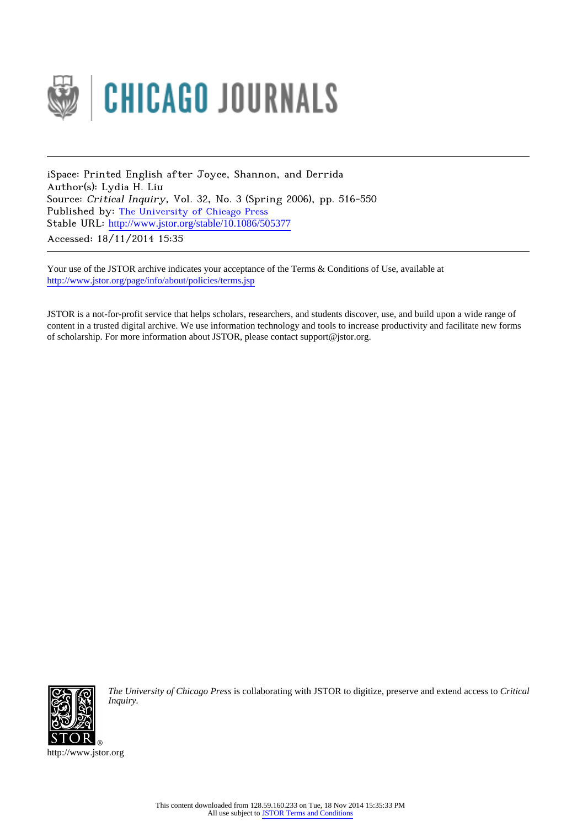

iSpace: Printed English after Joyce, Shannon, and Derrida Author(s): Lydia H. Liu Source: Critical Inquiry, Vol. 32, No. 3 (Spring 2006), pp. 516-550 Published by: [The University of Chicago Press](http://www.jstor.org/action/showPublisher?publisherCode=ucpress) Stable URL: http://www.jstor.org/stable/10.1086/505377 Accessed: 18/11/2014 15:35

Your use of the JSTOR archive indicates your acceptance of the Terms & Conditions of Use, available at <http://www.jstor.org/page/info/about/policies/terms.jsp>

JSTOR is a not-for-profit service that helps scholars, researchers, and students discover, use, and build upon a wide range of content in a trusted digital archive. We use information technology and tools to increase productivity and facilitate new forms of scholarship. For more information about JSTOR, please contact support@jstor.org.



*The University of Chicago Press* is collaborating with JSTOR to digitize, preserve and extend access to *Critical Inquiry.*

http://www.jstor.org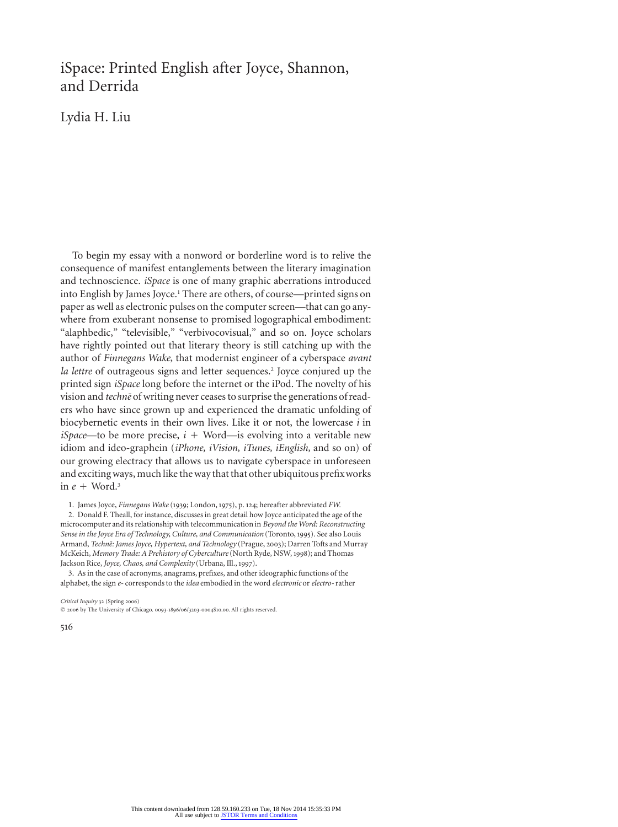# iSpace: Printed English after Joyce, Shannon, and Derrida

# Lydia H. Liu

To begin my essay with a nonword or borderline word is to relive the consequence of manifest entanglements between the literary imagination and technoscience. *iSpace* is one of many graphic aberrations introduced into English by James Joyce.<sup>1</sup> There are others, of course—printed signs on paper as well as electronic pulses on the computer screen—that can go anywhere from exuberant nonsense to promised logographical embodiment: "alaphbedic," "televisible," "verbivocovisual," and so on. Joyce scholars have rightly pointed out that literary theory is still catching up with the author of *Finnegans Wake*, that modernist engineer of a cyberspace *avant la lettre* of outrageous signs and letter sequences.<sup>2</sup> Joyce conjured up the printed sign *iSpace* long before the internet or the iPod. The novelty of his vision and *techne*<sup>of</sup> writing never ceases to surprise the generations of readers who have since grown up and experienced the dramatic unfolding of biocybernetic events in their own lives. Like it or not, the lowercase *i* in *iSpace*—to be more precise,  $i +$  Word—is evolving into a veritable new idiom and ideo-graphein (*iPhone, iVision, iTunes, iEnglish,* and so on) of our growing electracy that allows us to navigate cyberspace in unforeseen and exciting ways, much like the way that that other ubiquitous prefixworks  $\text{in } e + \text{Word.}^3$ 

1. James Joyce, *Finnegans Wake*(1939; London, 1975), p. 124; hereafter abbreviated *FW.*

2. Donald F. Theall, for instance, discusses in great detail how Joyce anticipated the age of the microcomputer and its relationship with telecommunication in *Beyond the Word: Reconstructing Sense in the Joyce Era of Technology, Culture, and Communication* (Toronto, 1995). See also Louis Armand, *Technē: James Joyce, Hypertext, and Technology* (Prague, 2003); Darren Tofts and Murray McKeich, *Memory Trade: A Prehistory of Cyberculture*(North Ryde, NSW, 1998); and Thomas Jackson Rice, *Joyce, Chaos, and Complexity* (Urbana, Ill., 1997).

3. As in the case of acronyms, anagrams, prefixes, and other ideographic functions of the alphabet, the sign *e-* corresponds to the *idea* embodied in the word *electronic* or*electro-*rather

*Critical Inquiry* 32 (Spring 2006)

2006 by The University of Chicago. 0093-1896/06/3203-0004\$10.00. All rights reserved.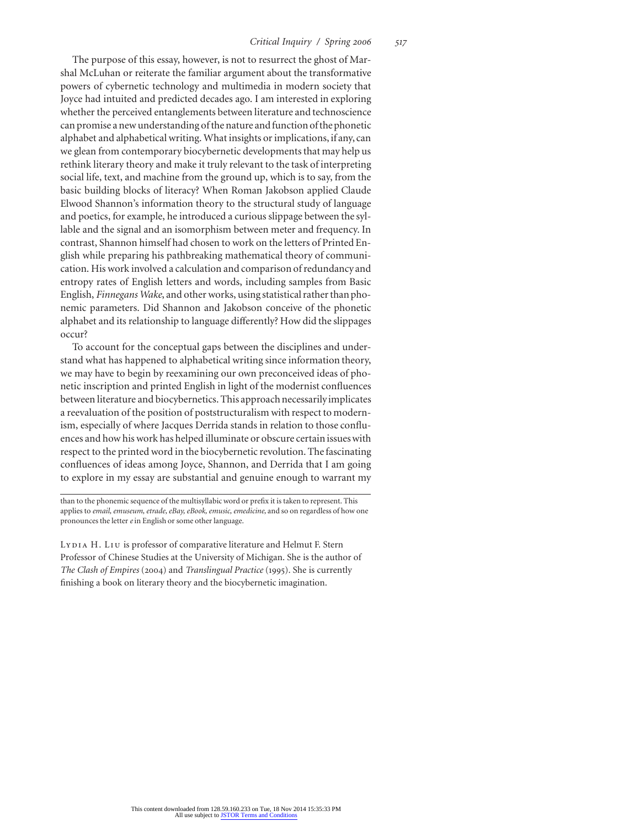#### *Critical Inquiry / Spring 2006 517*

The purpose of this essay, however, is not to resurrect the ghost of Marshal McLuhan or reiterate the familiar argument about the transformative powers of cybernetic technology and multimedia in modern society that Joyce had intuited and predicted decades ago. I am interested in exploring whether the perceived entanglements between literature and technoscience can promise a new understanding of the nature and function of the phonetic alphabet and alphabetical writing. What insights or implications, if any, can we glean from contemporary biocybernetic developments that may help us rethink literary theory and make it truly relevant to the task of interpreting social life, text, and machine from the ground up, which is to say, from the basic building blocks of literacy? When Roman Jakobson applied Claude Elwood Shannon's information theory to the structural study of language and poetics, for example, he introduced a curious slippage between the syllable and the signal and an isomorphism between meter and frequency. In contrast, Shannon himself had chosen to work on the letters of Printed English while preparing his pathbreaking mathematical theory of communication. His work involved a calculation and comparison of redundancy and entropy rates of English letters and words, including samples from Basic English, *Finnegans Wake*, and other works, using statistical rather than phonemic parameters. Did Shannon and Jakobson conceive of the phonetic alphabet and its relationship to language differently? How did the slippages occur?

To account for the conceptual gaps between the disciplines and understand what has happened to alphabetical writing since information theory, we may have to begin by reexamining our own preconceived ideas of phonetic inscription and printed English in light of the modernist confluences between literature and biocybernetics. This approach necessarilyimplicates a reevaluation of the position of poststructuralism with respect to modernism, especially of where Jacques Derrida stands in relation to those confluences and how his work has helped illuminate or obscure certain issueswith respect to the printed word in the biocybernetic revolution. The fascinating confluences of ideas among Joyce, Shannon, and Derrida that I am going to explore in my essay are substantial and genuine enough to warrant my

than to the phonemic sequence of the multisyllabic word or prefix it is taken to represent. This applies to *email, emuseum, etrade, eBay, eBook, emusic, emedicine,* and so on regardless of how one pronounces the letter*e* in English or some other language.

LYDIA H. LIU is professor of comparative literature and Helmut F. Stern Professor of Chinese Studies at the University of Michigan. She is the author of *The Clash of Empires* (2004) and *Translingual Practice* (1995). She is currently finishing a book on literary theory and the biocybernetic imagination.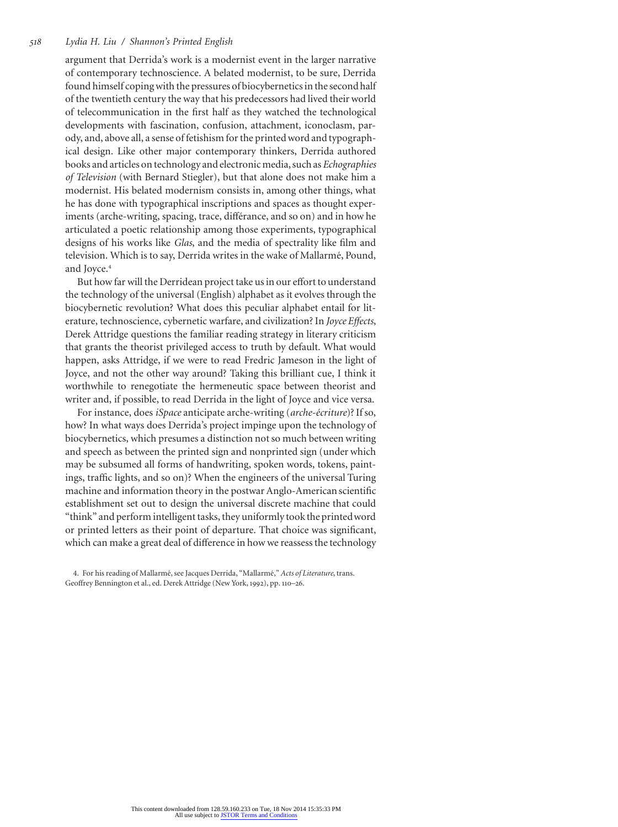argument that Derrida's work is a modernist event in the larger narrative of contemporary technoscience. A belated modernist, to be sure, Derrida found himself coping with the pressures of biocybernetics in the second half of the twentieth century the way that his predecessors had lived their world of telecommunication in the first half as they watched the technological developments with fascination, confusion, attachment, iconoclasm, parody, and, above all, a sense of fetishism for the printed word and typographical design. Like other major contemporary thinkers, Derrida authored books and articles on technology and electronicmedia, such as*Echographies of Television* (with Bernard Stiegler), but that alone does not make him a modernist. His belated modernism consists in, among other things, what he has done with typographical inscriptions and spaces as thought experiments (arche-writing, spacing, trace, différance, and so on) and in how he articulated a poetic relationship among those experiments, typographical designs of his works like *Glas*, and the media of spectrality like film and television. Which is to say, Derrida writes in the wake of Mallarmé, Pound, and Joyce.<sup>4</sup>

But how far will the Derridean project take us in our effort to understand the technology of the universal (English) alphabet as it evolves through the biocybernetic revolution? What does this peculiar alphabet entail for literature, technoscience, cybernetic warfare, and civilization? In *Joyce Effects*, Derek Attridge questions the familiar reading strategy in literary criticism that grants the theorist privileged access to truth by default. What would happen, asks Attridge, if we were to read Fredric Jameson in the light of Joyce, and not the other way around? Taking this brilliant cue, I think it worthwhile to renegotiate the hermeneutic space between theorist and writer and, if possible, to read Derrida in the light of Joyce and vice versa.

For instance, does *iSpace* anticipate arche-writing (*arche-écriture*)? If so, how? In what ways does Derrida's project impinge upon the technology of biocybernetics, which presumes a distinction not so much between writing and speech as between the printed sign and nonprinted sign (under which may be subsumed all forms of handwriting, spoken words, tokens, paintings, traffic lights, and so on)? When the engineers of the universal Turing machine and information theory in the postwar Anglo-American scientific establishment set out to design the universal discrete machine that could "think" and perform intelligent tasks, they uniformly took the printedword or printed letters as their point of departure. That choice was significant, which can make a great deal of difference in how we reassess the technology

4. For his reading of Mallarmé, see Jacques Derrida, "Mallarmé," Acts of Literature, trans. Geoffrey Bennington et al., ed. Derek Attridge (New York, 1992), pp. 110–26.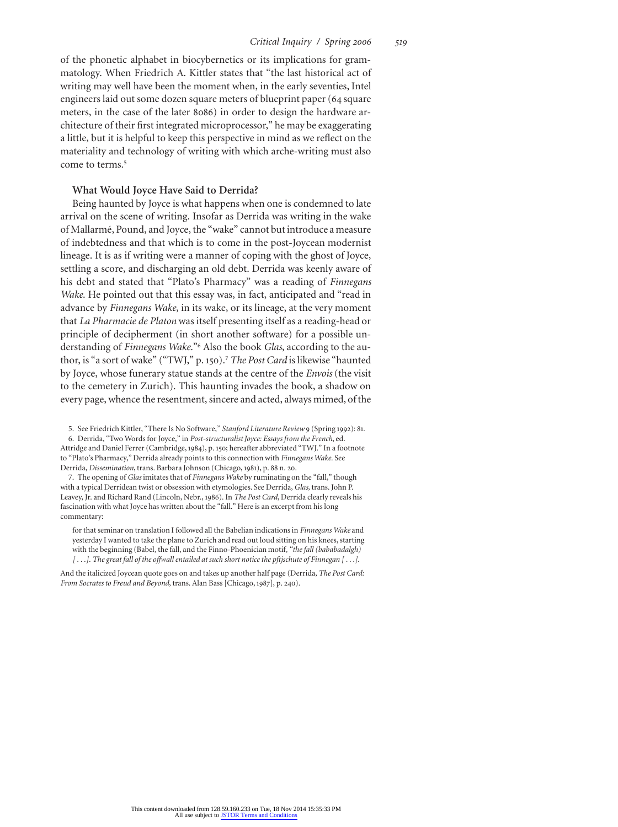of the phonetic alphabet in biocybernetics or its implications for grammatology. When Friedrich A. Kittler states that "the last historical act of writing may well have been the moment when, in the early seventies, Intel engineers laid out some dozen square meters of blueprint paper (64 square meters, in the case of the later 8086) in order to design the hardware architecture of their first integrated microprocessor," he may be exaggerating a little, but it is helpful to keep this perspective in mind as we reflect on the materiality and technology of writing with which arche-writing must also come to terms.<sup>5</sup>

### **What Would Joyce Have Said to Derrida?**

Being haunted by Joyce is what happens when one is condemned to late arrival on the scene of writing. Insofar as Derrida was writing in the wake of Mallarmé, Pound, and Joyce, the "wake" cannot but introduce a measure of indebtedness and that which is to come in the post-Joycean modernist lineage. It is as if writing were a manner of coping with the ghost of Joyce, settling a score, and discharging an old debt. Derrida was keenly aware of his debt and stated that "Plato's Pharmacy" was a reading of *Finnegans Wake*. He pointed out that this essay was, in fact, anticipated and "read in advance by *Finnegans Wake*, in its wake, or its lineage, at the very moment that *La Pharmacie de Platon* was itself presenting itself as a reading-head or principle of decipherment (in short another software) for a possible understanding of *Finnegans Wake*."<sup>6</sup> Also the book *Glas*, according to the author, is "a sort of wake" ("TWJ," p. 150).<sup>7</sup> *The Post Card* is likewise "haunted by Joyce, whose funerary statue stands at the centre of the *Envois* (the visit to the cemetery in Zurich). This haunting invades the book, a shadow on every page, whence the resentment, sincere and acted, always mimed, of the

5. See Friedrich Kittler, "There Is No Software," *Stanford Literature Review* 9 (Spring 1992): 81. 6. Derrida, "Two Words for Joyce," in *Post-structuralist Joyce: Essays from the French*, ed. Attridge and Daniel Ferrer (Cambridge, 1984), p. 150; hereafter abbreviated "TWJ." In a footnote to "Plato's Pharmacy," Derrida already points to this connection with *Finnegans Wake*. See Derrida, *Dissemination*, trans. Barbara Johnson (Chicago, 1981), p. 88 n. 20.

7. The opening of *Glas* imitates that of *Finnegans Wake* by ruminating on the "fall," though with a typical Derridean twist or obsession with etymologies. See Derrida,*Glas,* trans. John P. Leavey, Jr. and Richard Rand (Lincoln, Nebr., 1986). In *The Post Card*, Derrida clearly reveals his fascination with what Joyce has written about the "fall." Here is an excerpt from his long commentary:

for that seminar on translation I followed all the Babelian indications in *Finnegans Wake* and yesterday I wanted to take the plane to Zurich and read out loud sitting on his knees, starting with the beginning (Babel, the fall, and the Finno-Phoenician motif, *"the fall (bababadalgh) [ . . .]. The great fall of the offwall entailed at such short notice the pftjschute of Finnegan [ . . .]*.

And the italicized Joycean quote goes on and takes up another half page (Derrida, *The Post Card: From Socrates to Freud and Beyond*, trans. Alan Bass [Chicago, 1987], p. 240).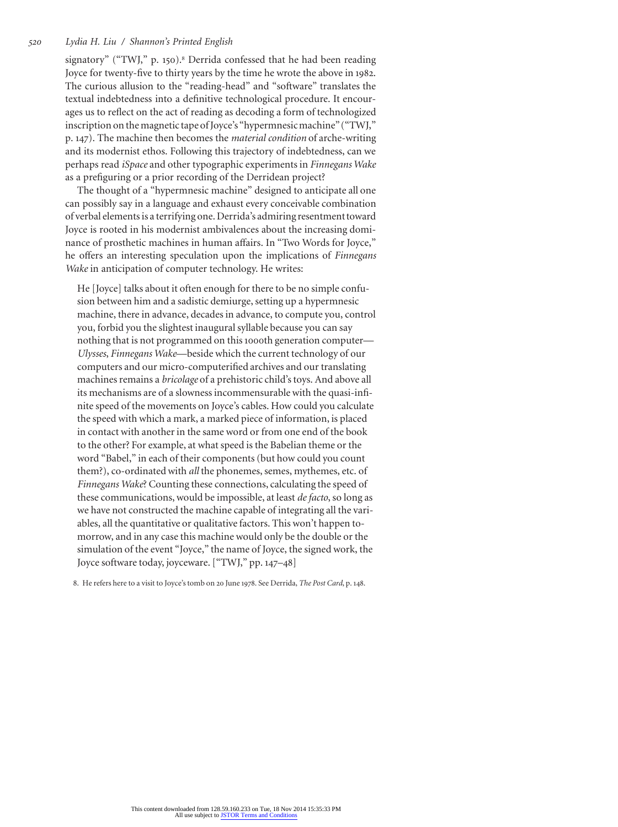signatory" ("TWJ," p. 150).<sup>8</sup> Derrida confessed that he had been reading Joyce for twenty-five to thirty years by the time he wrote the above in 1982. The curious allusion to the "reading-head" and "software" translates the textual indebtedness into a definitive technological procedure. It encourages us to reflect on the act of reading as decoding a form of technologized inscription on the magnetic tape of Joyce's "hypermnesicmachine"("TWJ," p. 147). The machine then becomes the *material condition* of arche-writing and its modernist ethos. Following this trajectory of indebtedness, can we perhaps read *iSpace* and other typographic experiments in *Finnegans Wake* as a prefiguring or a prior recording of the Derridean project?

The thought of a "hypermnesic machine" designed to anticipate all one can possibly say in a language and exhaust every conceivable combination of verbal elements is a terrifying one. Derrida's admiring resentment toward Joyce is rooted in his modernist ambivalences about the increasing dominance of prosthetic machines in human affairs. In "Two Words for Joyce," he offers an interesting speculation upon the implications of *Finnegans Wake* in anticipation of computer technology. He writes:

He [Joyce] talks about it often enough for there to be no simple confusion between him and a sadistic demiurge, setting up a hypermnesic machine, there in advance, decades in advance, to compute you, control you, forbid you the slightest inaugural syllable because you can say nothing that is not programmed on this 1000th generation computer— *Ulysses*, *Finnegans Wake*—beside which the current technology of our computers and our micro-computerified archives and our translating machines remains a *bricolage* of a prehistoric child's toys. And above all its mechanisms are of a slowness incommensurable with the quasi-infinite speed of the movements on Joyce's cables. How could you calculate the speed with which a mark, a marked piece of information, is placed in contact with another in the same word or from one end of the book to the other? For example, at what speed is the Babelian theme or the word "Babel," in each of their components (but how could you count them?), co-ordinated with *all* the phonemes, semes, mythemes, etc. of *Finnegans Wake*? Counting these connections, calculating the speed of these communications, would be impossible, at least *de facto*, so long as we have not constructed the machine capable of integrating all the variables, all the quantitative or qualitative factors. This won't happen tomorrow, and in any case this machine would only be the double or the simulation of the event "Joyce," the name of Joyce, the signed work, the Joyce software today, joyceware. ["TWJ," pp. 147–48]

8. He refers here to a visit to Joyce's tomb on 20 June 1978. See Derrida, *The Post Card*, p. 148.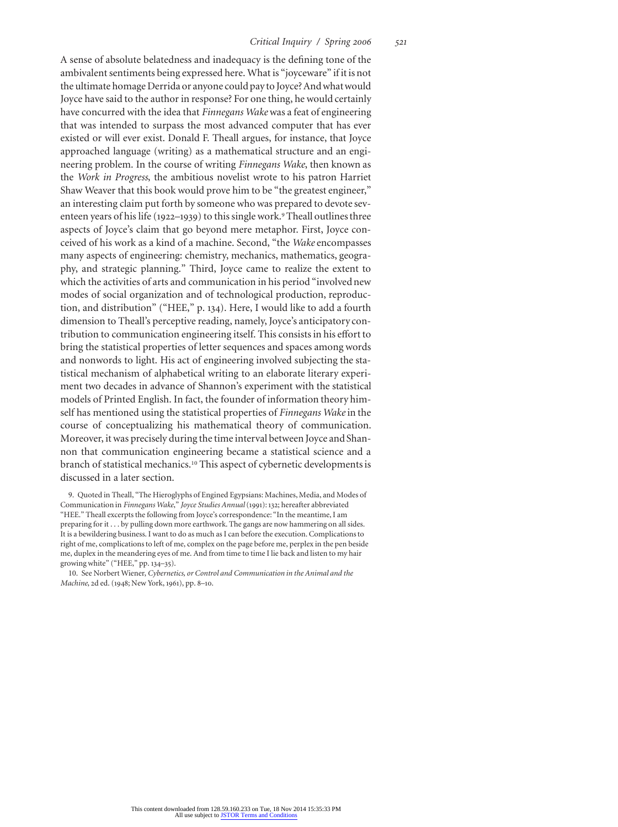A sense of absolute belatedness and inadequacy is the defining tone of the ambivalent sentiments being expressed here. What is "joyceware" if it is not the ultimate homage Derrida or anyone could pay to Joyce? And what would Joyce have said to the author in response? For one thing, he would certainly have concurred with the idea that *Finnegans Wake* was a feat of engineering that was intended to surpass the most advanced computer that has ever existed or will ever exist. Donald F. Theall argues, for instance, that Joyce approached language (writing) as a mathematical structure and an engineering problem. In the course of writing *Finnegans Wake*, then known as the *Work in Progress*, the ambitious novelist wrote to his patron Harriet Shaw Weaver that this book would prove him to be "the greatest engineer," an interesting claim put forth by someone who was prepared to devote seventeen years of his life (1922–1939) to this single work.<sup>9</sup> Theall outlines three aspects of Joyce's claim that go beyond mere metaphor. First, Joyce conceived of his work as a kind of a machine. Second, "the *Wake* encompasses many aspects of engineering: chemistry, mechanics, mathematics, geography, and strategic planning." Third, Joyce came to realize the extent to which the activities of arts and communication in his period "involved new modes of social organization and of technological production, reproduction, and distribution" ("HEE," p. 134). Here, I would like to add a fourth dimension to Theall's perceptive reading, namely, Joyce's anticipatory contribution to communication engineering itself. This consists in his effort to bring the statistical properties of letter sequences and spaces among words and nonwords to light. His act of engineering involved subjecting the statistical mechanism of alphabetical writing to an elaborate literary experiment two decades in advance of Shannon's experiment with the statistical models of Printed English. In fact, the founder of information theory himself has mentioned using the statistical properties of *Finnegans Wake*in the course of conceptualizing his mathematical theory of communication. Moreover, it was precisely during the time interval between Joyce and Shannon that communication engineering became a statistical science and a branch of statistical mechanics.<sup>10</sup> This aspect of cybernetic developments is discussed in a later section.

9. Quoted in Theall, "The Hieroglyphs of Engined Egypsians: Machines, Media, and Modes of Communication in *Finnegans Wake*," *Joyce Studies Annual*(1991): 132; hereafter abbreviated "HEE." Theall excerpts the following from Joyce's correspondence: "In the meantime, I am preparing for it . . . by pulling down more earthwork. The gangs are now hammering on all sides. It is a bewildering business. I want to do as much as I can before the execution. Complications to right of me, complications to left of me, complex on the page before me, perplex in the pen beside me, duplex in the meandering eyes of me. And from time to time I lie back and listen to my hair growing white" ("HEE," pp. 134–35).

10. See Norbert Wiener, *Cybernetics, or Control and Communication in the Animal and the Machine*, 2d ed. (1948; New York, 1961), pp. 8–10.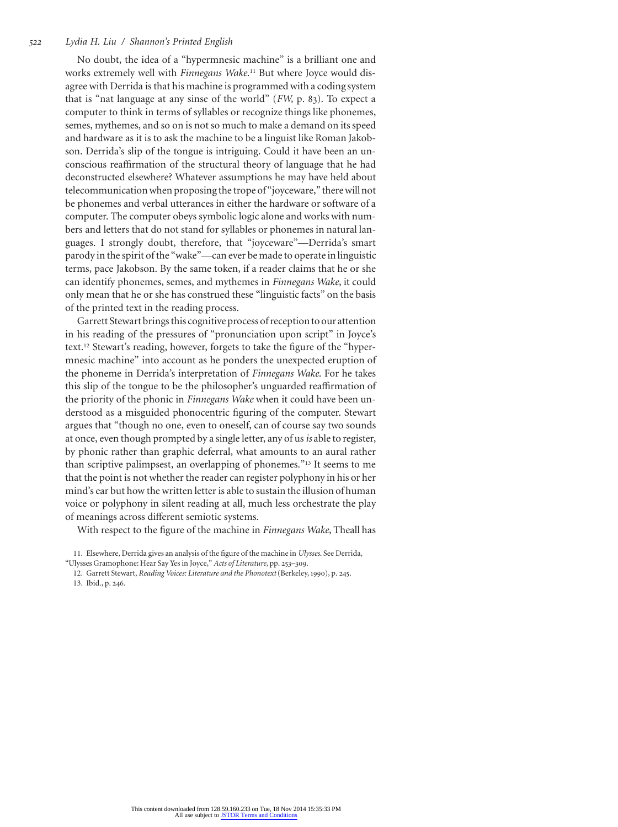No doubt, the idea of a "hypermnesic machine" is a brilliant one and works extremely well with *Finnegans Wake*. <sup>11</sup> But where Joyce would disagree with Derrida is that his machine is programmed with a coding system that is "nat language at any sinse of the world" (*FW,* p. 83). To expect a computer to think in terms of syllables or recognize things like phonemes, semes, mythemes, and so on is not so much to make a demand on its speed and hardware as it is to ask the machine to be a linguist like Roman Jakobson. Derrida's slip of the tongue is intriguing. Could it have been an unconscious reaffirmation of the structural theory of language that he had deconstructed elsewhere? Whatever assumptions he may have held about telecommunication when proposing the trope of "joyceware," therewill not be phonemes and verbal utterances in either the hardware or software of a computer. The computer obeys symbolic logic alone and works with numbers and letters that do not stand for syllables or phonemes in natural languages. I strongly doubt, therefore, that "joyceware"—Derrida's smart parody in the spirit of the "wake"—can ever be made to operate in linguistic terms, pace Jakobson. By the same token, if a reader claims that he or she can identify phonemes, semes, and mythemes in *Finnegans Wake*, it could only mean that he or she has construed these "linguistic facts" on the basis of the printed text in the reading process.

Garrett Stewart brings this cognitive process of reception to our attention in his reading of the pressures of "pronunciation upon script" in Joyce's text.<sup>12</sup> Stewart's reading, however, forgets to take the figure of the "hypermnesic machine" into account as he ponders the unexpected eruption of the phoneme in Derrida's interpretation of *Finnegans Wake*. For he takes this slip of the tongue to be the philosopher's unguarded reaffirmation of the priority of the phonic in *Finnegans Wake* when it could have been understood as a misguided phonocentric figuring of the computer. Stewart argues that "though no one, even to oneself, can of course say two sounds at once, even though prompted by a single letter, any of us*is* able to register, by phonic rather than graphic deferral, what amounts to an aural rather than scriptive palimpsest, an overlapping of phonemes."<sup>13</sup> It seems to me that the point is not whether the reader can register polyphony in his or her mind's ear but how the written letter is able to sustain the illusion of human voice or polyphony in silent reading at all, much less orchestrate the play of meanings across different semiotic systems.

With respect to the figure of the machine in *Finnegans Wake*, Theall has

13. Ibid., p. 246.

<sup>11.</sup> Elsewhere, Derrida gives an analysis of the figure of the machine in *Ulysses*. See Derrida,

<sup>&</sup>quot;Ulysses Gramophone: Hear Say Yes in Joyce," *Acts of Literature*, pp. 253–309.

<sup>12.</sup> Garrett Stewart, *Reading Voices: Literature and the Phonotext*(Berkeley, 1990), p. 245.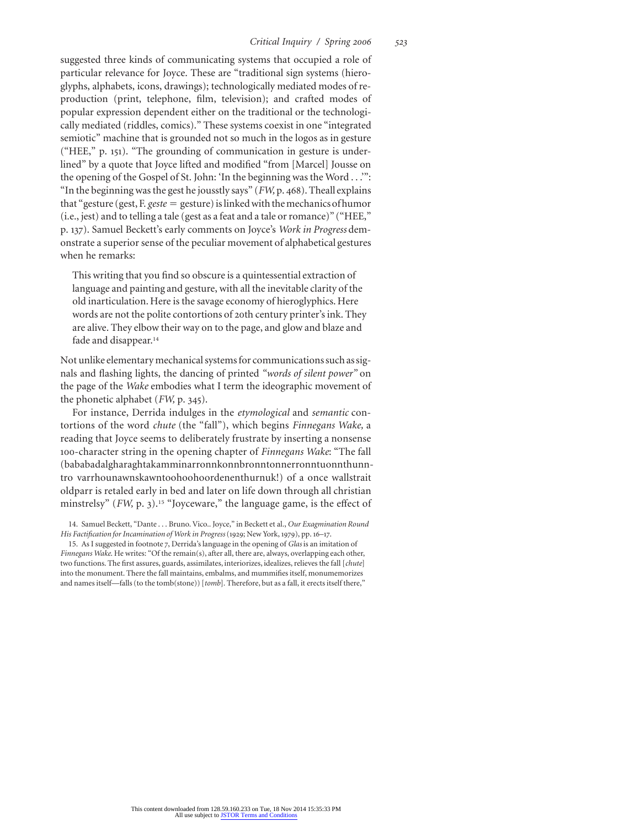suggested three kinds of communicating systems that occupied a role of particular relevance for Joyce. These are "traditional sign systems (hieroglyphs, alphabets, icons, drawings); technologically mediated modes of reproduction (print, telephone, film, television); and crafted modes of popular expression dependent either on the traditional or the technologically mediated (riddles, comics)." These systems coexist in one "integrated semiotic" machine that is grounded not so much in the logos as in gesture ("HEE," p. 151). "The grounding of communication in gesture is underlined" by a quote that Joyce lifted and modified "from [Marcel] Jousse on the opening of the Gospel of St. John: 'In the beginning was the Word . . .'": "In the beginning was the gest he jousstly says" (*FW,* p. 468). Theall explains that "gesture (gest,  $F$ , *geste* = gesture) is linked with the mechanics of humor (i.e., jest) and to telling a tale (gest as a feat and a tale or romance)" ("HEE," p. 137). Samuel Beckett's early comments on Joyce's *Work in Progress* demonstrate a superior sense of the peculiar movement of alphabetical gestures when he remarks:

This writing that you find so obscure is a quintessential extraction of language and painting and gesture, with all the inevitable clarity of the old inarticulation. Here is the savage economy of hieroglyphics. Here words are not the polite contortions of 20th century printer's ink. They are alive. They elbow their way on to the page, and glow and blaze and fade and disappear.<sup>14</sup>

Not unlike elementary mechanical systemsfor communications such as signals and flashing lights, the dancing of printed *"words of silent power"* on the page of the *Wake* embodies what I term the ideographic movement of the phonetic alphabet (*FW,* p. 345).

For instance, Derrida indulges in the *etymological* and *semantic* contortions of the word *chute* (the "fall"), which begins *Finnegans Wake,* a reading that Joyce seems to deliberately frustrate by inserting a nonsense 100-character string in the opening chapter of *Finnegans Wake*: "The fall (bababadalgharaghtakamminarronnkonnbronntonnerronntuonnthunntro varrhounawnskawntoohoohoordenenthurnuk!) of a once wallstrait oldparr is retaled early in bed and later on life down through all christian minstrelsy" (*FW, p. 3*).<sup>15</sup> "Joyceware," the language game, is the effect of

14. Samuel Beckett, "Dante . . . Bruno. Vico.. Joyce," in Beckett et al., *Our Exagmination Round His Factification for Incamination of Work in Progress*(1929; New York, 1979), pp. 16–17.

15. As I suggested in footnote 7, Derrida's language in the opening of *Glas* is an imitation of *Finnegans Wake*. He writes: "Of the remain(s), after all, there are, always, overlapping each other, two functions. The first assures, guards, assimilates, interiorizes, idealizes, relieves the fall [*chute*] into the monument. There the fall maintains, embalms, and mummifies itself, monumemorizes and names itself—falls (to the tomb(stone)) [*tomb*]. Therefore, but as a fall, it erects itself there,"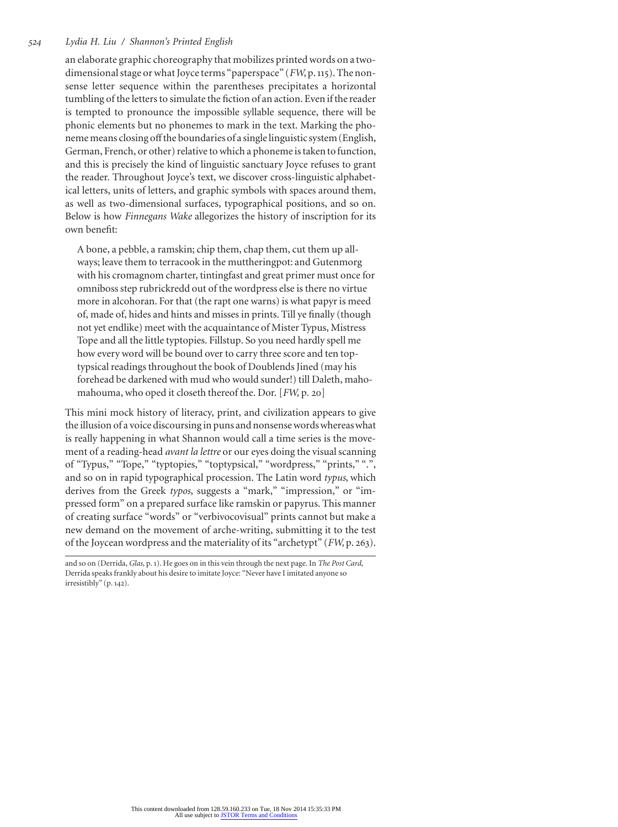an elaborate graphic choreography that mobilizes printed words on a twodimensional stage or what Joyce terms "paperspace" (*FW,* p. 115). The nonsense letter sequence within the parentheses precipitates a horizontal tumbling of the letters to simulate the fiction of an action. Even if the reader is tempted to pronounce the impossible syllable sequence, there will be phonic elements but no phonemes to mark in the text. Marking the phoneme means closing off the boundaries of a single linguistic system (English, German, French, or other) relative to which a phoneme is taken to function, and this is precisely the kind of linguistic sanctuary Joyce refuses to grant the reader. Throughout Joyce's text, we discover cross-linguistic alphabetical letters, units of letters, and graphic symbols with spaces around them, as well as two-dimensional surfaces, typographical positions, and so on. Below is how *Finnegans Wake* allegorizes the history of inscription for its own benefit:

A bone, a pebble, a ramskin; chip them, chap them, cut them up allways; leave them to terracook in the muttheringpot: and Gutenmorg with his cromagnom charter, tintingfast and great primer must once for omniboss step rubrickredd out of the wordpress else is there no virtue more in alcohoran. For that (the rapt one warns) is what papyr is meed of, made of, hides and hints and misses in prints. Till ye finally (though not yet endlike) meet with the acquaintance of Mister Typus, Mistress Tope and all the little typtopies. Fillstup. So you need hardly spell me how every word will be bound over to carry three score and ten toptypsical readings throughout the book of Doublends Jined (may his forehead be darkened with mud who would sunder!) till Daleth, mahomahouma, who oped it closeth thereof the. Dor. [*FW,* p. 20]

This mini mock history of literacy, print, and civilization appears to give the illusion of a voice discoursing in puns and nonsensewordswhereaswhat is really happening in what Shannon would call a time series is the movement of a reading-head *avant la lettre* or our eyes doing the visual scanning of "Typus," "Tope," "typtopies," "toptypsical," "wordpress," "prints," ".", and so on in rapid typographical procession. The Latin word *typus*, which derives from the Greek *typos*, suggests a "mark," "impression," or "impressed form" on a prepared surface like ramskin or papyrus. This manner of creating surface "words" or "verbivocovisual" prints cannot but make a new demand on the movement of arche-writing, submitting it to the test of the Joycean wordpress and the materiality of its "archetypt" (*FW,* p. 263).

and so on (Derrida,*Glas*, p. 1). He goes on in this vein through the next page. In *The Post Card*, Derrida speaks frankly about his desire to imitate Joyce: "Never have I imitated anyone so irresistibly" (p. 142).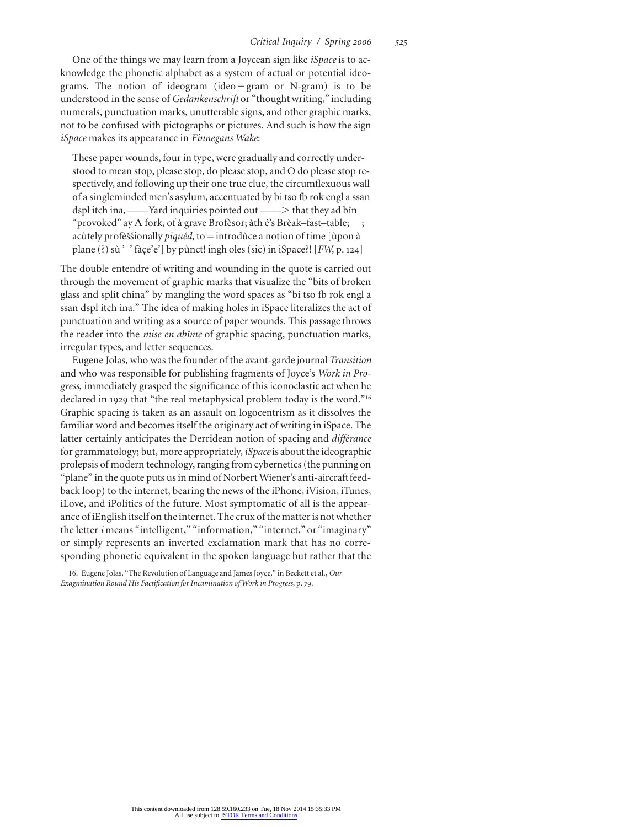One of the things we may learn from a Joycean sign like *iSpace* is to acknowledge the phonetic alphabet as a system of actual or potential ideograms. The notion of ideogram (ideo+gram or N-gram) is to be understood in the sense of *Gedankenschrift* or "thought writing," including numerals, punctuation marks, unutterable signs, and other graphic marks, not to be confused with pictographs or pictures. And such is how the sign *iSpace* makes its appearance in *Finnegans Wake*:

These paper wounds, four in type, were gradually and correctly understood to mean stop, please stop, do please stop, and O do please stop respectively, and following up their one true clue, the circumflexuous wall of a singleminded men's asylum, accentuated by bi tso fb rok engl a ssan dspl itch ina, ——Yard inquiries pointed out —— $>$  that they ad bîn "provoked" ay  $\Lambda$  fork, of à grave Brofèsor; àth é's Brèak–fast–table; ; acùtely profeššionally *piquéd*, to = introdùce a notion of time [ù pon à plane (?) sù ' ' façe'e'] by pu`nct! ingh oles (sic) in iSpace?! [*FW, p. 124*]

The double entendre of writing and wounding in the quote is carried out through the movement of graphic marks that visualize the "bits of broken glass and split china" by mangling the word spaces as "bi tso fb rok engl a ssan dspl itch ina." The idea of making holes in iSpace literalizes the act of punctuation and writing as a source of paper wounds. This passage throws the reader into the *mise en abîme* of graphic spacing, punctuation marks, irregular types, and letter sequences.

Eugene Jolas, who was the founder of the avant-garde journal*Transition* and who was responsible for publishing fragments of Joyce's *Work in Progress*, immediately grasped the significance of this iconoclastic act when he declared in 1929 that "the real metaphysical problem today is the word."<sup>16</sup> Graphic spacing is taken as an assault on logocentrism as it dissolves the familiar word and becomes itself the originary act of writing in iSpace. The latter certainly anticipates the Derridean notion of spacing and *différance* for grammatology; but, more appropriately, *iSpace*is about the ideographic prolepsis of modern technology, ranging from cybernetics (the punning on "plane" in the quote puts us in mind of Norbert Wiener's anti-aircraft feedback loop) to the internet, bearing the news of the iPhone, iVision, iTunes, iLove, and iPolitics of the future. Most symptomatic of all is the appearance of iEnglish itself on the internet. The crux of the matter is notwhether the letter *i* means "intelligent," "information," "internet," or "imaginary" or simply represents an inverted exclamation mark that has no corresponding phonetic equivalent in the spoken language but rather that the

16. Eugene Jolas, "The Revolution of Language and James Joyce," in Beckett et al., *Our Exagmination Round His Factification for Incamination of Work in Progress*, p. 79.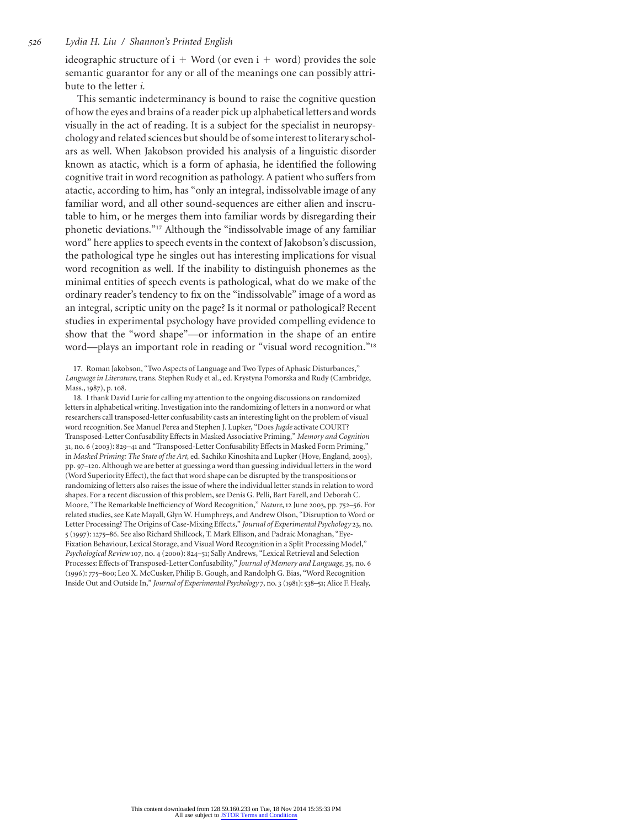ideographic structure of i + Word (or even i + word) provides the sole semantic guarantor for any or all of the meanings one can possibly attribute to the letter *i.*

This semantic indeterminancy is bound to raise the cognitive question of how the eyes and brains of a reader pick up alphabetical letters and words visually in the act of reading. It is a subject for the specialist in neuropsychology and related sciences but should be of some interest to literary scholars as well. When Jakobson provided his analysis of a linguistic disorder known as atactic, which is a form of aphasia, he identified the following cognitive trait in word recognition as pathology. A patient who suffers from atactic, according to him, has "only an integral, indissolvable image of any familiar word, and all other sound-sequences are either alien and inscrutable to him, or he merges them into familiar words by disregarding their phonetic deviations."<sup>17</sup> Although the "indissolvable image of any familiar word" here applies to speech events in the context of Jakobson's discussion, the pathological type he singles out has interesting implications for visual word recognition as well. If the inability to distinguish phonemes as the minimal entities of speech events is pathological, what do we make of the ordinary reader's tendency to fix on the "indissolvable" image of a word as an integral, scriptic unity on the page? Is it normal or pathological? Recent studies in experimental psychology have provided compelling evidence to show that the "word shape"—or information in the shape of an entire word—plays an important role in reading or "visual word recognition."<sup>18</sup>

17. Roman Jakobson, "Two Aspects of Language and Two Types of Aphasic Disturbances," *Language in Literature*, trans. Stephen Rudy et al., ed. Krystyna Pomorska and Rudy (Cambridge, Mass., 1987), p. 108.

18. I thank David Lurie for calling my attention to the ongoing discussions on randomized letters in alphabetical writing. Investigation into the randomizing of letters in a nonword or what researchers call transposed-letter confusability casts an interesting light on the problem of visual word recognition. See Manuel Perea and Stephen J. Lupker, "Does *Jugde* activate COURT? Transposed-Letter Confusability Effects in Masked Associative Priming," *Memory and Cognition* 31, no. 6 (2003): 829–41 and "Transposed-Letter Confusability Effects in Masked Form Priming," in *Masked Priming: The State of the Art*, ed. Sachiko Kinoshita and Lupker (Hove, England, 2003), pp. 97–120. Although we are better at guessing a word than guessing individual letters in the word (Word Superiority Effect), the fact that word shape can be disrupted by the transpositions or randomizing of letters also raises the issue of where the individual letter stands in relation to word shapes. For a recent discussion of this problem, see Denis G. Pelli, Bart Farell, and Deborah C. Moore, "The Remarkable Inefficiency of Word Recognition," *Nature*, 12 June 2003, pp. 752–56. For related studies, see Kate Mayall, Glyn W. Humphreys, and Andrew Olson, "Disruption to Word or Letter Processing? The Origins of Case-Mixing Effects," *Journal of Experimental Psychology* 23, no. 5 (1997): 1275–86. See also Richard Shillcock, T. Mark Ellison, and Padraic Monaghan, "Eye-Fixation Behaviour, Lexical Storage, and Visual Word Recognition in a Split Processing Model," *Psychological Review* 107, no. 4 (2000): 824–51; Sally Andrews, "Lexical Retrieval and Selection Processes: Effects of Transposed-Letter Confusability," *Journal of Memory and Language*, 35, no. 6 (1996): 775–800; Leo X. McCusker, Philip B. Gough, and Randolph G. Bias, "Word Recognition Inside Out and Outside In," *Journal of Experimental Psychology* 7, no. 3 (1981): 538–51; Alice F. Healy,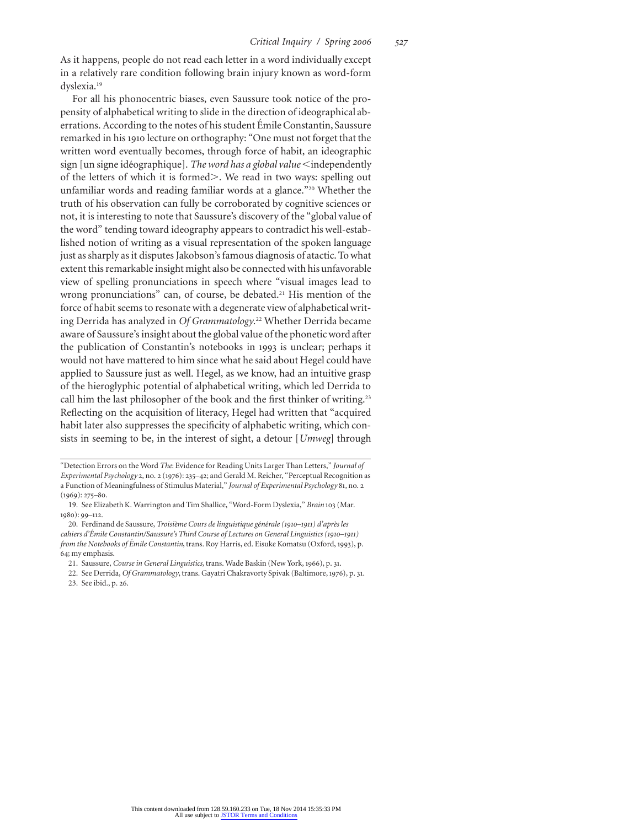As it happens, people do not read each letter in a word individually except in a relatively rare condition following brain injury known as word-form dyslexia.<sup>19</sup>

For all his phonocentric biases, even Saussure took notice of the propensity of alphabetical writing to slide in the direction of ideographical aberrations. According to the notes of his student Émile Constantin, Saussure remarked in his 1910 lecture on orthography: "One must not forget that the written word eventually becomes, through force of habit, an ideographic sign [un signe idéographique]. *The word has a global value* <independently of the letters of which it is formed>. We read in two ways: spelling out unfamiliar words and reading familiar words at a glance."<sup>20</sup> Whether the truth of his observation can fully be corroborated by cognitive sciences or not, it is interesting to note that Saussure's discovery of the "global value of the word" tending toward ideography appears to contradict his well-established notion of writing as a visual representation of the spoken language just as sharply as it disputes Jakobson's famous diagnosis of atactic. To what extent this remarkable insight might also be connected with his unfavorable view of spelling pronunciations in speech where "visual images lead to wrong pronunciations" can, of course, be debated.<sup>21</sup> His mention of the force of habit seems to resonate with a degenerate view of alphabeticalwriting Derrida has analyzed in *Of Grammatology*. <sup>22</sup> Whether Derrida became aware of Saussure's insight about the global value of the phonetic word after the publication of Constantin's notebooks in 1993 is unclear; perhaps it would not have mattered to him since what he said about Hegel could have applied to Saussure just as well. Hegel, as we know, had an intuitive grasp of the hieroglyphic potential of alphabetical writing, which led Derrida to call him the last philosopher of the book and the first thinker of writing.<sup>23</sup> Reflecting on the acquisition of literacy, Hegel had written that "acquired habit later also suppresses the specificity of alphabetic writing, which consists in seeming to be, in the interest of sight, a detour [*Umweg*] through

<sup>&</sup>quot;Detection Errors on the Word *The*: Evidence for Reading Units Larger Than Letters," *Journal of Experimental Psychology* 2, no. 2 (1976): 235–42; and Gerald M. Reicher, "Perceptual Recognition as a Function of Meaningfulness of Stimulus Material," *Journal of Experimental Psychology* 81, no. 2 (1969): 275–80.

<sup>19.</sup> See Elizabeth K. Warrington and Tim Shallice, "Word-Form Dyslexia," *Brain* 103 (Mar. 1980): 99–112.

<sup>20.</sup> Ferdinand de Saussure, *Troisième Cours de linguistique générale* (1910–1911) d'après les *cahiers d'E´mile Constantin/Saussure's Third Course of Lectures on General Linguistics (1910–1911) from the Notebooks of E´mile Constantin*, trans. Roy Harris, ed. Eisuke Komatsu (Oxford, 1993), p. 64; my emphasis.

<sup>21.</sup> Saussure, *Course in General Linguistics,* trans. Wade Baskin (New York, 1966), p. 31.

<sup>22.</sup> See Derrida, *Of Grammatology*, trans. Gayatri Chakravorty Spivak (Baltimore, 1976), p. 31. 23. See ibid., p. 26.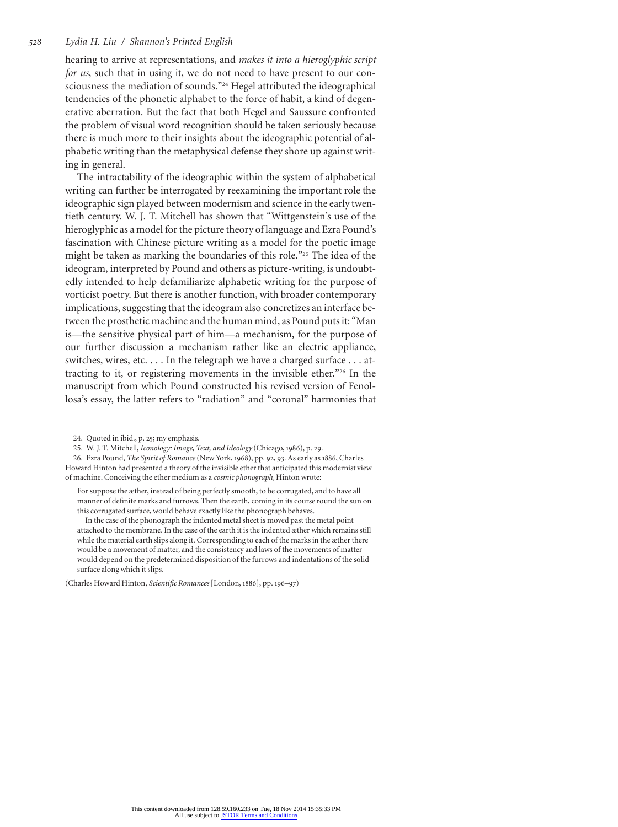hearing to arrive at representations, and *makes it into a hieroglyphic script for us*, such that in using it, we do not need to have present to our consciousness the mediation of sounds."<sup>24</sup> Hegel attributed the ideographical tendencies of the phonetic alphabet to the force of habit, a kind of degenerative aberration. But the fact that both Hegel and Saussure confronted the problem of visual word recognition should be taken seriously because there is much more to their insights about the ideographic potential of alphabetic writing than the metaphysical defense they shore up against writing in general.

The intractability of the ideographic within the system of alphabetical writing can further be interrogated by reexamining the important role the ideographic sign played between modernism and science in the early twentieth century. W. J. T. Mitchell has shown that "Wittgenstein's use of the hieroglyphic as a model for the picture theory of language and Ezra Pound's fascination with Chinese picture writing as a model for the poetic image might be taken as marking the boundaries of this role."<sup>25</sup> The idea of the ideogram, interpreted by Pound and others as picture-writing, is undoubtedly intended to help defamiliarize alphabetic writing for the purpose of vorticist poetry. But there is another function, with broader contemporary implications, suggesting that the ideogram also concretizes an interface between the prosthetic machine and the human mind, as Pound puts it: "Man is—the sensitive physical part of him—a mechanism, for the purpose of our further discussion a mechanism rather like an electric appliance, switches, wires, etc. . . . In the telegraph we have a charged surface . . . attracting to it, or registering movements in the invisible ether."<sup>26</sup> In the manuscript from which Pound constructed his revised version of Fenollosa's essay, the latter refers to "radiation" and "coronal" harmonies that

26. Ezra Pound, *The Spirit of Romance*(New York, 1968), pp. 92, 93. As early as 1886, Charles Howard Hinton had presented a theory of the invisible ether that anticipated this modernist view of machine. Conceiving the ether medium as a *cosmic phonograph*, Hinton wrote:

For suppose the æther, instead of being perfectly smooth, to be corrugated, and to have all manner of definite marks and furrows. Then the earth, coming in its course round the sun on this corrugated surface, would behave exactly like the phonograph behaves.

In the case of the phonograph the indented metal sheet is moved past the metal point attached to the membrane. In the case of the earth it is the indented æther which remains still while the material earth slips along it. Corresponding to each of the marks in the æther there would be a movement of matter, and the consistency and laws of the movements of matter would depend on the predetermined disposition of the furrows and indentations of the solid surface along which it slips.

(Charles Howard Hinton, *Scientific Romances*[London, 1886], pp. 196–97)

<sup>24.</sup> Quoted in ibid., p. 25; my emphasis.

<sup>25.</sup> W. J. T. Mitchell, *Iconology: Image, Text, and Ideology* (Chicago, 1986), p. 29.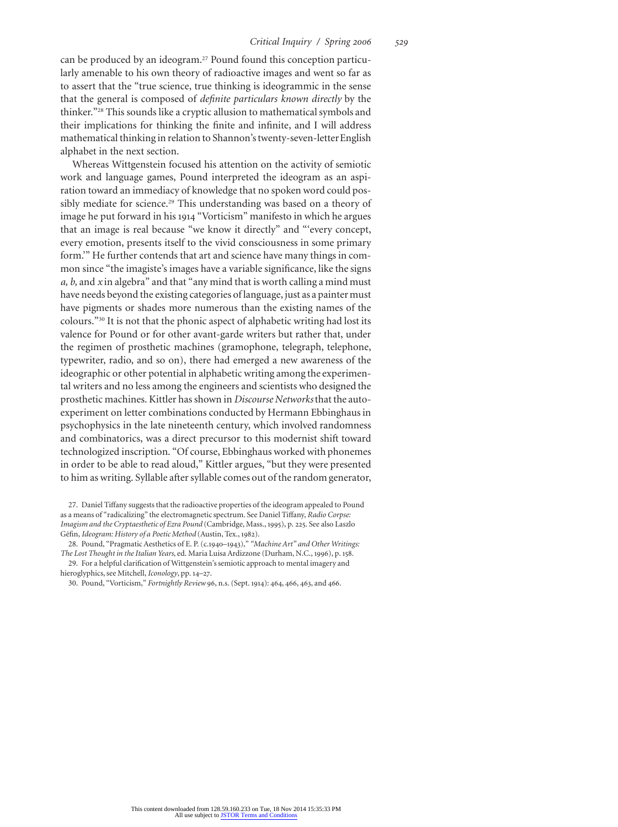can be produced by an ideogram.<sup>27</sup> Pound found this conception particularly amenable to his own theory of radioactive images and went so far as to assert that the "true science, true thinking is ideogrammic in the sense that the general is composed of *definite particulars known directly* by the thinker."<sup>28</sup> This sounds like a cryptic allusion to mathematical symbols and their implications for thinking the finite and infinite, and I will address mathematical thinking in relation to Shannon's twenty-seven-letter English alphabet in the next section.

Whereas Wittgenstein focused his attention on the activity of semiotic work and language games, Pound interpreted the ideogram as an aspiration toward an immediacy of knowledge that no spoken word could possibly mediate for science.<sup>29</sup> This understanding was based on a theory of image he put forward in his 1914 "Vorticism" manifesto in which he argues that an image is real because "we know it directly" and "'every concept, every emotion, presents itself to the vivid consciousness in some primary form.'" He further contends that art and science have many things in common since "the imagiste's images have a variable significance, like the signs *a, b,* and *x* in algebra" and that "any mind that is worth calling a mind must have needs beyond the existing categories of language, just as a painter must have pigments or shades more numerous than the existing names of the colours."<sup>30</sup> It is not that the phonic aspect of alphabetic writing had lost its valence for Pound or for other avant-garde writers but rather that, under the regimen of prosthetic machines (gramophone, telegraph, telephone, typewriter, radio, and so on), there had emerged a new awareness of the ideographic or other potential in alphabetic writing among the experimental writers and no less among the engineers and scientists who designed the prosthetic machines. Kittler has shown in *Discourse Networks* that the autoexperiment on letter combinations conducted by Hermann Ebbinghaus in psychophysics in the late nineteenth century, which involved randomness and combinatorics, was a direct precursor to this modernist shift toward technologized inscription. "Of course, Ebbinghaus worked with phonemes in order to be able to read aloud," Kittler argues, "but they were presented to him as writing. Syllable after syllable comes out of the random generator,

27. Daniel Tiffany suggests that the radioactive properties of the ideogram appealed to Pound as a means of "radicalizing" the electromagnetic spectrum. See Daniel Tiffany, *Radio Corpse: Imagism and the Cryptaesthetic of Ezra Pound* (Cambridge, Mass., 1995), p. 225. See also Laszlo Géfin, *Ideogram: History of a Poetic Method* (Austin, Tex., 1982).

28. Pound, "Pragmatic Aesthetics of E. P. (c.1940–1943)," *"Machine Art" and Other Writings: The Lost Thought in the Italian Years*, ed. Maria Luisa Ardizzone (Durham, N.C., 1996), p. 158. 29. For a helpful clarification of Wittgenstein's semiotic approach to mental imagery and

hieroglyphics, see Mitchell, *Iconology*, pp. 14–27.

30. Pound, "Vorticism," *Fortnightly Review* 96, n.s. (Sept. 1914): 464, 466, 463, and 466.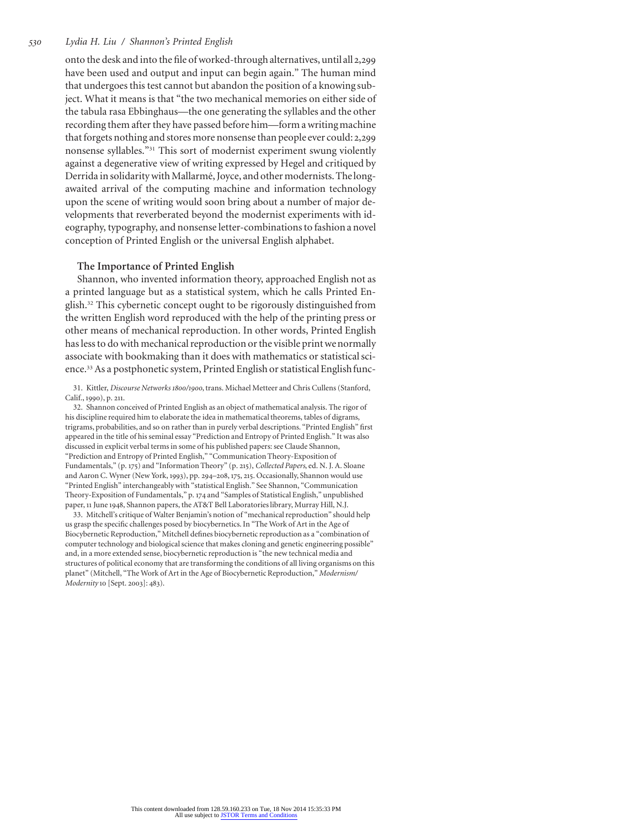onto the desk and into the file of worked-through alternatives, until all 2,299 have been used and output and input can begin again." The human mind that undergoes this test cannot but abandon the position of a knowing subject. What it means is that "the two mechanical memories on either side of the tabula rasa Ebbinghaus—the one generating the syllables and the other recording them after they have passed before him—form a writingmachine that forgets nothing and stores more nonsense than people ever could: 2,299 nonsense syllables."<sup>31</sup> This sort of modernist experiment swung violently against a degenerative view of writing expressed by Hegel and critiqued by Derrida in solidarity with Mallarmé, Joyce, and other modernists. The longawaited arrival of the computing machine and information technology upon the scene of writing would soon bring about a number of major developments that reverberated beyond the modernist experiments with ideography, typography, and nonsense letter-combinations to fashion a novel conception of Printed English or the universal English alphabet.

# **The Importance of Printed English**

Shannon, who invented information theory, approached English not as a printed language but as a statistical system, which he calls Printed English.<sup>32</sup> This cybernetic concept ought to be rigorously distinguished from the written English word reproduced with the help of the printing press or other means of mechanical reproduction. In other words, Printed English has less to do with mechanical reproduction or the visible print we normally associate with bookmaking than it does with mathematics or statistical science.<sup>33</sup> As a postphonetic system, Printed English or statistical English func-

31. Kittler, *Discourse Networks 1800/1900*, trans. Michael Metteer and Chris Cullens (Stanford, Calif., 1990), p. 211.

32. Shannon conceived of Printed English as an object of mathematical analysis. The rigor of his discipline required him to elaborate the idea in mathematical theorems, tables of digrams, trigrams, probabilities, and so on rather than in purely verbal descriptions. "Printed English" first appeared in the title of his seminal essay "Prediction and Entropy of Printed English." It was also discussed in explicit verbal terms in some of his published papers: see Claude Shannon, "Prediction and Entropy of Printed English," "Communication Theory-Exposition of Fundamentals," (p. 175) and "Information Theory" (p. 215), *Collected Papers*, ed. N. J. A. Sloane and Aaron C. Wyner (New York, 1993), pp. 294–208, 175, 215. Occasionally, Shannon would use "Printed English" interchangeably with "statistical English." See Shannon, "Communication Theory-Exposition of Fundamentals," p. 174 and "Samples of Statistical English," unpublished paper, 11 June 1948, Shannon papers, the AT&T Bell Laboratories library, Murray Hill, N.J.

33. Mitchell's critique of Walter Benjamin's notion of "mechanical reproduction" should help us grasp the specific challenges posed by biocybernetics. In "The Work of Art in the Age of Biocybernetic Reproduction," Mitchell defines biocybernetic reproduction as a "combination of computer technology and biological science that makes cloning and genetic engineering possible" and, in a more extended sense, biocybernetic reproduction is "the new technical media and structures of political economy that are transforming the conditions of all living organisms on this planet" (Mitchell, "The Work of Art in the Age of Biocybernetic Reproduction," *Modernism/ Modernity* 10 [Sept. 2003]: 483).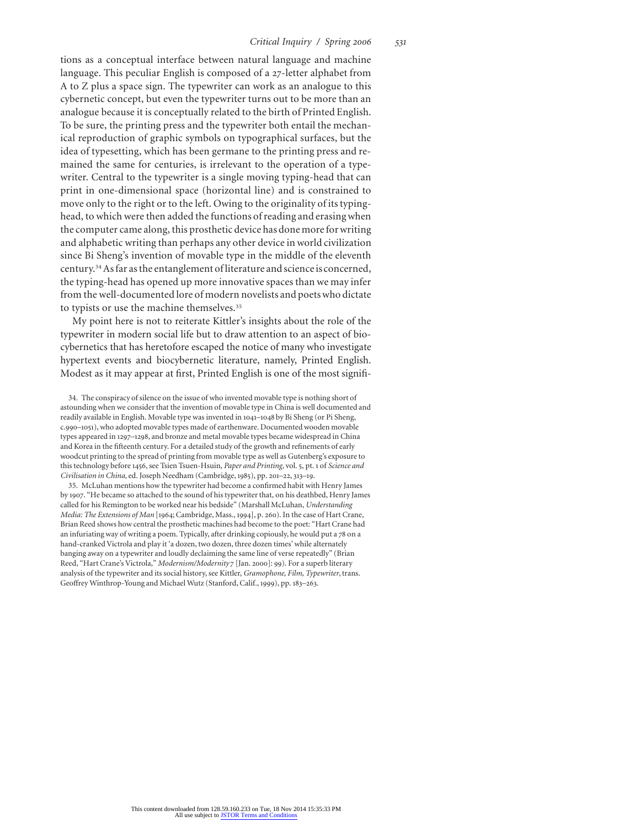tions as a conceptual interface between natural language and machine language. This peculiar English is composed of a 27-letter alphabet from A to Z plus a space sign. The typewriter can work as an analogue to this cybernetic concept, but even the typewriter turns out to be more than an analogue because it is conceptually related to the birth of Printed English. To be sure, the printing press and the typewriter both entail the mechanical reproduction of graphic symbols on typographical surfaces, but the idea of typesetting, which has been germane to the printing press and remained the same for centuries, is irrelevant to the operation of a typewriter. Central to the typewriter is a single moving typing-head that can print in one-dimensional space (horizontal line) and is constrained to move only to the right or to the left. Owing to the originality of its typinghead, to which were then added the functions of reading and erasing when the computer came along, this prosthetic device has done more forwriting and alphabetic writing than perhaps any other device in world civilization since Bi Sheng's invention of movable type in the middle of the eleventh century.34As far as the entanglement of literature and science is concerned, the typing-head has opened up more innovative spaces than we may infer from the well-documented lore of modern novelists and poets who dictate to typists or use the machine themselves.<sup>35</sup>

My point here is not to reiterate Kittler's insights about the role of the typewriter in modern social life but to draw attention to an aspect of biocybernetics that has heretofore escaped the notice of many who investigate hypertext events and biocybernetic literature, namely, Printed English. Modest as it may appear at first, Printed English is one of the most signifi-

34. The conspiracy of silence on the issue of who invented movable type is nothing short of astounding when we consider that the invention of movable type in China is well documented and readily available in English. Movable type was invented in 1041–1048 by Bi Sheng (or Pi Sheng, c.990–1051), who adopted movable types made of earthenware. Documented wooden movable types appeared in 1297–1298, and bronze and metal movable types became widespread in China and Korea in the fifteenth century. For a detailed study of the growth and refinements of early woodcut printing to the spread of printing from movable type as well as Gutenberg's exposure to this technology before 1456, see Tsien Tsuen-Hsuin, *Paper and Printing,* vol. 5, pt. 1 of *Science and Civilisation in China,* ed. Joseph Needham (Cambridge, 1985), pp. 201–22, 313–19.

35. McLuhan mentions how the typewriter had become a confirmed habit with Henry James by 1907. "He became so attached to the sound of his typewriter that, on his deathbed, Henry James called for his Remington to be worked near his bedside" (Marshall McLuhan, *Understanding Media: The Extensions of Man* [1964; Cambridge, Mass., 1994], p. 260). In the case of Hart Crane, Brian Reed shows how central the prosthetic machines had become to the poet: "Hart Crane had an infuriating way of writing a poem. Typically, after drinking copiously, he would put a 78 on a hand-cranked Victrola and play it 'a dozen, two dozen, three dozen times' while alternately banging away on a typewriter and loudly declaiming the same line of verse repeatedly" (Brian Reed, "Hart Crane's Victrola," *Modernism/Modernity7* [Jan. 2000]: 99). For a superb literary analysis of the typewriter and its social history, see Kittler, *Gramophone, Film, Typewriter*, trans. Geoffrey Winthrop-Young and Michael Wutz (Stanford, Calif., 1999), pp. 183–263.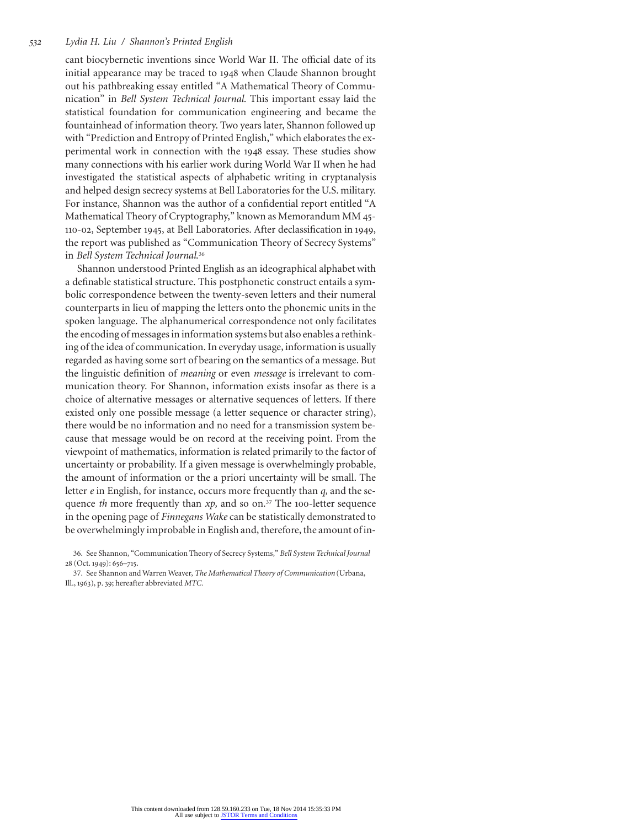cant biocybernetic inventions since World War II. The official date of its initial appearance may be traced to 1948 when Claude Shannon brought out his pathbreaking essay entitled "A Mathematical Theory of Communication" in *Bell System Technical Journal*. This important essay laid the statistical foundation for communication engineering and became the fountainhead of information theory. Two years later, Shannon followed up with "Prediction and Entropy of Printed English," which elaborates the experimental work in connection with the 1948 essay. These studies show many connections with his earlier work during World War II when he had investigated the statistical aspects of alphabetic writing in cryptanalysis and helped design secrecy systems at Bell Laboratories for the U.S. military. For instance, Shannon was the author of a confidential report entitled "A Mathematical Theory of Cryptography," known as Memorandum MM 45- 110-02, September 1945, at Bell Laboratories. After declassification in 1949, the report was published as "Communication Theory of Secrecy Systems" in *Bell System Technical Journal*. 36

Shannon understood Printed English as an ideographical alphabet with a definable statistical structure. This postphonetic construct entails a symbolic correspondence between the twenty-seven letters and their numeral counterparts in lieu of mapping the letters onto the phonemic units in the spoken language. The alphanumerical correspondence not only facilitates the encoding of messages in information systems but also enables a rethinking of the idea of communication. In everyday usage, information is usually regarded as having some sort of bearing on the semantics of a message. But the linguistic definition of *meaning* or even *message* is irrelevant to communication theory. For Shannon, information exists insofar as there is a choice of alternative messages or alternative sequences of letters. If there existed only one possible message (a letter sequence or character string), there would be no information and no need for a transmission system because that message would be on record at the receiving point. From the viewpoint of mathematics, information is related primarily to the factor of uncertainty or probability. If a given message is overwhelmingly probable, the amount of information or the a priori uncertainty will be small. The letter *e* in English, for instance, occurs more frequently than *q,* and the sequence *th* more frequently than *xp*, and so on.<sup>37</sup> The 100-letter sequence in the opening page of *Finnegans Wake* can be statistically demonstrated to be overwhelmingly improbable in English and, therefore, the amount of in-

<sup>36.</sup> See Shannon, "Communication Theory of Secrecy Systems," *Bell System Technical Journal* 28 (Oct. 1949): 656–715.

<sup>37.</sup> See Shannon and Warren Weaver, *The Mathematical Theory of Communication* (Urbana, Ill., 1963), p. 39; hereafter abbreviated *MTC.*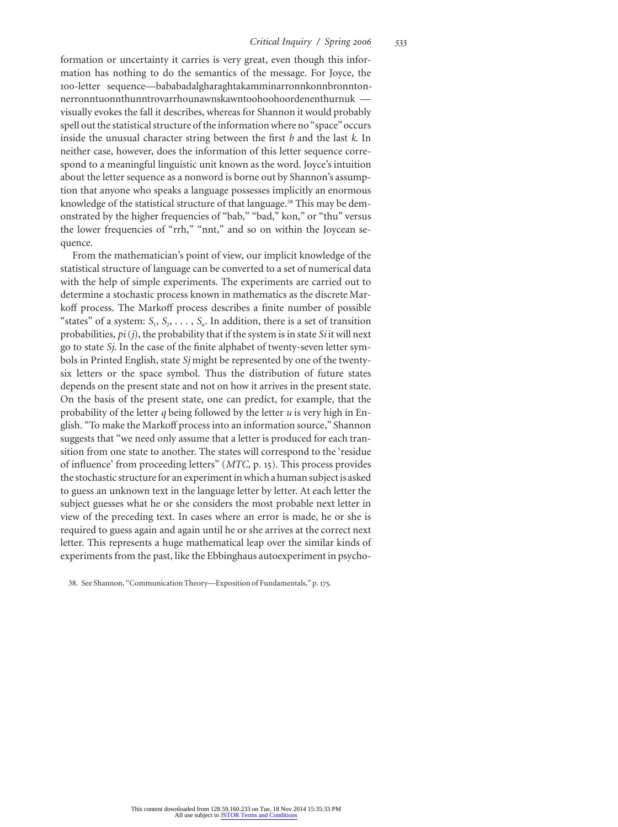formation or uncertainty it carries is very great, even though this information has nothing to do the semantics of the message. For Joyce, the 100-letter sequence—bababadalgharaghtakamminarronnkonnbronntonnerronntuonnthunntrovarrhounawnskawntoohoohoordenenthurnuk visually evokes the fall it describes, whereas for Shannon it would probably spell out the statistical structure of the information where no "space" occurs inside the unusual character string between the first *b* and the last *k*. In neither case, however, does the information of this letter sequence correspond to a meaningful linguistic unit known as the word. Joyce's intuition about the letter sequence as a nonword is borne out by Shannon's assumption that anyone who speaks a language possesses implicitly an enormous knowledge of the statistical structure of that language.<sup>38</sup> This may be demonstrated by the higher frequencies of "bab," "bad," kon," or "thu" versus the lower frequencies of "rrh," "nnt," and so on within the Joycean sequence.

From the mathematician's point of view, our implicit knowledge of the statistical structure of language can be converted to a set of numerical data with the help of simple experiments. The experiments are carried out to determine a stochastic process known in mathematics as the discrete Markoff process. The Markoff process describes a finite number of possible "states" of a system:  $S_1, S_2, \ldots, S_n$ . In addition, there is a set of transition probabilities, *pi* (*j*), the probability that if the system is in state *Si* it will next go to state *Sj*. In the case of the finite alphabet of twenty-seven letter symbols in Printed English, state *Sj* might be represented by one of the twentysix letters or the space symbol. Thus the distribution of future states depends on the present state and not on how it arrives in the present state. On the basis of the present state, one can predict, for example, that the probability of the letter *q* being followed by the letter *u* is very high in English. "To make the Markoff process into an information source," Shannon suggests that "we need only assume that a letter is produced for each transition from one state to another. The states will correspond to the 'residue of influence' from proceeding letters" (*MTC,* p. 15). This process provides the stochastic structure for an experiment in which a human subject is asked to guess an unknown text in the language letter by letter. At each letter the subject guesses what he or she considers the most probable next letter in view of the preceding text. In cases where an error is made, he or she is required to guess again and again until he or she arrives at the correct next letter. This represents a huge mathematical leap over the similar kinds of experiments from the past, like the Ebbinghaus autoexperiment in psycho-

38. See Shannon, "Communication Theory—Exposition of Fundamentals," p. 175.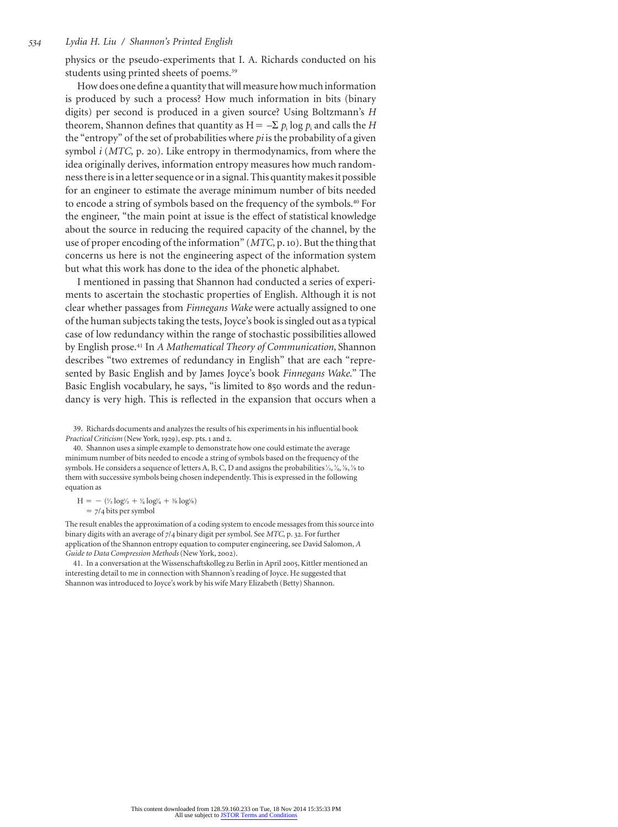physics or the pseudo-experiments that I. A. Richards conducted on his students using printed sheets of poems.<sup>39</sup>

How does one define a quantity that will measure how much information is produced by such a process? How much information in bits (binary digits) per second is produced in a given source? Using Boltzmann's *H* theorem, Shannon defines that quantity as  $H = -\sum p_i \log p_i$  and calls the *H* the "entropy" of the set of probabilities where *pi* is the probability of a given symbol *i* (*MTC,* p. 20). Like entropy in thermodynamics, from where the idea originally derives, information entropy measures how much randomness there is in a letter sequence or in a signal. This quantitymakesit possible for an engineer to estimate the average minimum number of bits needed to encode a string of symbols based on the frequency of the symbols.<sup>40</sup> For the engineer, "the main point at issue is the effect of statistical knowledge about the source in reducing the required capacity of the channel, by the use of proper encoding of the information" (*MTC,* p. 10). But the thing that concerns us here is not the engineering aspect of the information system but what this work has done to the idea of the phonetic alphabet.

I mentioned in passing that Shannon had conducted a series of experiments to ascertain the stochastic properties of English. Although it is not clear whether passages from *Finnegans Wake* were actually assigned to one of the human subjects taking the tests, Joyce's book is singled out as a typical case of low redundancy within the range of stochastic possibilities allowed by English prose.<sup>41</sup> In *A Mathematical Theory of Communication,* Shannon describes "two extremes of redundancy in English" that are each "represented by Basic English and by James Joyce's book *Finnegans Wake*." The Basic English vocabulary, he says, "is limited to 850 words and the redundancy is very high. This is reflected in the expansion that occurs when a

39. Richards documents and analyzes the results of his experiments in his influential book *Practical Criticism* (New York, 1929), esp. pts. 1 and 2.

40. Shannon uses a simple example to demonstrate how one could estimate the average minimum number of bits needed to encode a string of symbols based on the frequency of the symbols. He considers a sequence of letters A, B, C, D and assigns the probabilities ½, ¼, ⅓, ⅓ to them with successive symbols being chosen independently. This is expressed in the following equation as

 $H = -(\frac{1}{2} \log_2 2 + \frac{1}{4} \log_2 4 + \frac{1}{8} \log_2 8)$  $=$  7/4 bits per symbol

The result enables the approximation of a coding system to encode messages from this source into binary digits with an average of 7/4 binary digit per symbol. See *MTC,* p. 32. For further application of the Shannon entropy equation to computer engineering, see David Salomon, *A Guide to Data Compression Methods*(New York, 2002).

41. In a conversation at the Wissenschaftskolleg zu Berlin in April 2005, Kittler mentioned an interesting detail to me in connection with Shannon's reading of Joyce. He suggested that Shannon was introduced to Joyce's work by his wife Mary Elizabeth (Betty) Shannon.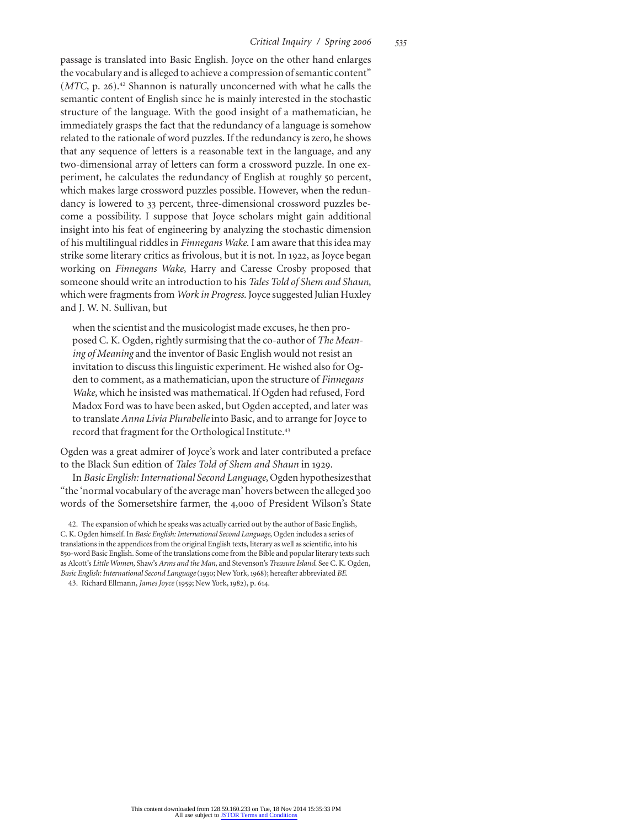passage is translated into Basic English. Joyce on the other hand enlarges the vocabulary and is alleged to achieve a compression of semantic content" (MTC, p. 26).<sup>42</sup> Shannon is naturally unconcerned with what he calls the semantic content of English since he is mainly interested in the stochastic structure of the language. With the good insight of a mathematician, he immediately grasps the fact that the redundancy of a language is somehow related to the rationale of word puzzles. If the redundancy is zero, he shows that any sequence of letters is a reasonable text in the language, and any two-dimensional array of letters can form a crossword puzzle. In one experiment, he calculates the redundancy of English at roughly 50 percent, which makes large crossword puzzles possible. However, when the redundancy is lowered to 33 percent, three-dimensional crossword puzzles become a possibility. I suppose that Joyce scholars might gain additional insight into his feat of engineering by analyzing the stochastic dimension of his multilingual riddles in *Finnegans Wake*. I am aware that this idea may strike some literary critics as frivolous, but it is not. In 1922, as Joyce began working on *Finnegans Wake*, Harry and Caresse Crosby proposed that someone should write an introduction to his *Tales Told of Shem and Shaun*, which were fragments from *Work in Progress*. Joyce suggested Julian Huxley and J. W. N. Sullivan, but

when the scientist and the musicologist made excuses, he then proposed C. K. Ogden, rightly surmising that the co-author of *The Meaning of Meaning* and the inventor of Basic English would not resist an invitation to discuss this linguistic experiment. He wished also for Ogden to comment, as a mathematician, upon the structure of *Finnegans Wake*, which he insisted was mathematical. If Ogden had refused, Ford Madox Ford was to have been asked, but Ogden accepted, and later was to translate *Anna Livia Plurabelle*into Basic, and to arrange for Joyce to record that fragment for the Orthological Institute.<sup>43</sup>

Ogden was a great admirer of Joyce's work and later contributed a preface to the Black Sun edition of *Tales Told of Shem and Shaun* in 1929.

In *Basic English: International Second Language*, Ogden hypothesizes that "the 'normal vocabulary of the average man' hovers between the alleged 300 words of the Somersetshire farmer, the 4,000 of President Wilson's State

42. The expansion of which he speaks was actually carried out by the author of Basic English, C. K. Ogden himself. In *Basic English: International Second Language*, Ogden includes a series of translations in the appendices from the original English texts, literary as well as scientific, into his 850-word Basic English. Some of the translations come from the Bible and popular literary texts such as Alcott's *Little Women*, Shaw's *Arms and the Man*, and Stevenson's *Treasure Island*. See C. K. Ogden, *Basic English: International Second Language*(1930; New York, 1968); hereafter abbreviated *BE.* 43. Richard Ellmann, *James Joyce*(1959; New York, 1982), p. 614.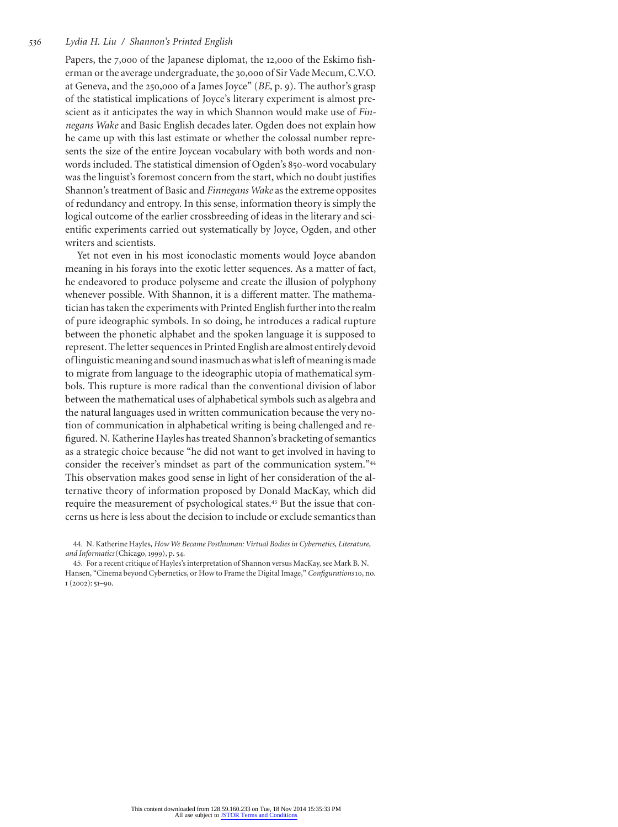Papers, the 7,000 of the Japanese diplomat, the 12,000 of the Eskimo fisherman or the average undergraduate, the 30,000 of Sir Vade Mecum, C.V.O. at Geneva, and the 250,000 of a James Joyce" (*BE,* p. 9). The author's grasp of the statistical implications of Joyce's literary experiment is almost prescient as it anticipates the way in which Shannon would make use of *Finnegans Wake* and Basic English decades later. Ogden does not explain how he came up with this last estimate or whether the colossal number represents the size of the entire Joycean vocabulary with both words and nonwords included. The statistical dimension of Ogden's 850-word vocabulary was the linguist's foremost concern from the start, which no doubt justifies Shannon's treatment of Basic and *Finnegans Wake* as the extreme opposites of redundancy and entropy. In this sense, information theory is simply the logical outcome of the earlier crossbreeding of ideas in the literary and scientific experiments carried out systematically by Joyce, Ogden, and other writers and scientists.

Yet not even in his most iconoclastic moments would Joyce abandon meaning in his forays into the exotic letter sequences. As a matter of fact, he endeavored to produce polyseme and create the illusion of polyphony whenever possible. With Shannon, it is a different matter. The mathematician has taken the experiments with Printed English further into the realm of pure ideographic symbols. In so doing, he introduces a radical rupture between the phonetic alphabet and the spoken language it is supposed to represent. The letter sequences in Printed English are almost entirely devoid of linguistic meaning and sound inasmuch as what is left of meaning is made to migrate from language to the ideographic utopia of mathematical symbols. This rupture is more radical than the conventional division of labor between the mathematical uses of alphabetical symbols such as algebra and the natural languages used in written communication because the very notion of communication in alphabetical writing is being challenged and refigured. N. Katherine Hayles has treated Shannon's bracketing of semantics as a strategic choice because "he did not want to get involved in having to consider the receiver's mindset as part of the communication system."<sup>44</sup> This observation makes good sense in light of her consideration of the alternative theory of information proposed by Donald MacKay, which did require the measurement of psychological states.<sup>45</sup> But the issue that concerns us here is less about the decision to include or exclude semantics than

This content downloaded from 128.59.160.233 on Tue, 18 Nov 2014 15:35:33 PM All use subject to **JSTOR Terms** and C

<sup>44.</sup> N. Katherine Hayles, *How We Became Posthuman: Virtual Bodies in Cybernetics, Literature, and Informatics*(Chicago, 1999), p. 54.

<sup>45.</sup> For a recent critique of Hayles's interpretation of Shannon versus MacKay, see Mark B. N. Hansen, "Cinema beyond Cybernetics, or How to Frame the Digital Image," *Configurations* 10, no. 1 (2002): 51–90.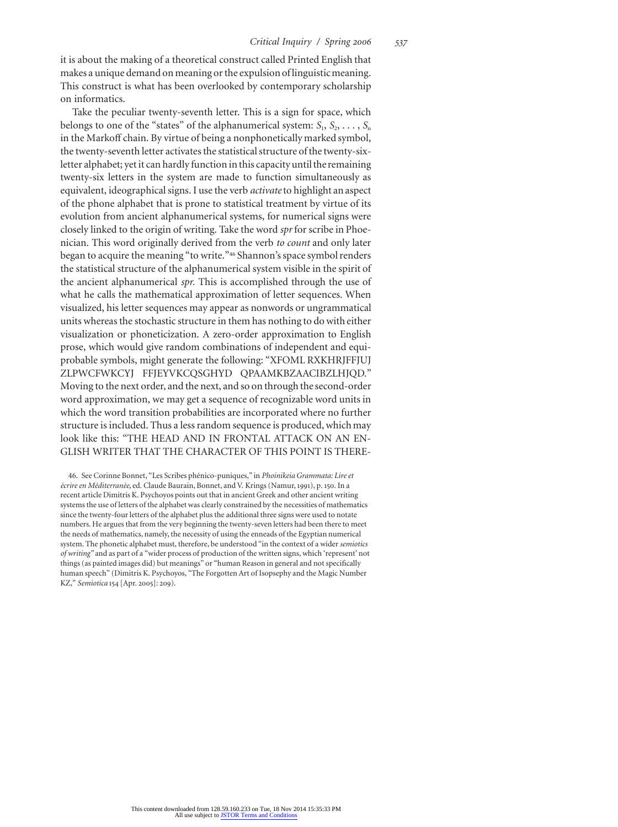it is about the making of a theoretical construct called Printed English that makes a unique demand on meaning or the expulsion of linguisticmeaning. This construct is what has been overlooked by contemporary scholarship on informatics.

Take the peculiar twenty-seventh letter. This is a sign for space, which belongs to one of the "states" of the alphanumerical system:  $S_1, S_2, \ldots, S_n$ in the Markoff chain. By virtue of being a nonphonetically marked symbol, the twenty-seventh letter activates the statistical structure of the twenty-sixletter alphabet; yet it can hardly function in this capacity until the remaining twenty-six letters in the system are made to function simultaneously as equivalent, ideographical signs. I use the verb *activate*to highlight an aspect of the phone alphabet that is prone to statistical treatment by virtue of its evolution from ancient alphanumerical systems, for numerical signs were closely linked to the origin of writing. Take the word *spr* for scribe in Phoenician. This word originally derived from the verb *to count* and only later began to acquire the meaning "to write."<sup>46</sup> Shannon's space symbol renders the statistical structure of the alphanumerical system visible in the spirit of the ancient alphanumerical *spr.* This is accomplished through the use of what he calls the mathematical approximation of letter sequences. When visualized, his letter sequences may appear as nonwords or ungrammatical units whereas the stochastic structure in them has nothing to do with either visualization or phoneticization. A zero-order approximation to English prose, which would give random combinations of independent and equiprobable symbols, might generate the following: "XFOML RXKHRJFFJUJ ZLPWCFWKCYJ FFJEYVKCQSGHYD QPAAMKBZAACIBZLHJQD." Moving to the next order, and the next, and so on through the second-order word approximation, we may get a sequence of recognizable word units in which the word transition probabilities are incorporated where no further structure is included. Thus a less random sequence is produced, which may look like this: "THE HEAD AND IN FRONTAL ATTACK ON AN EN-GLISH WRITER THAT THE CHARACTER OF THIS POINT IS THERE-

46. See Corinne Bonnet, "Les Scribes phénico-puniques," in *Phoinikeia Grammata: Lire et* écrire en Méditerranée, ed. Claude Baurain, Bonnet, and V. Krings (Namur, 1991), p. 150. In a recent article Dimitris K. Psychoyos points out that in ancient Greek and other ancient writing systems the use of letters of the alphabet was clearly constrained by the necessities of mathematics since the twenty-four letters of the alphabet plus the additional three signs were used to notate numbers. He argues that from the very beginning the twenty-seven letters had been there to meet the needs of mathematics, namely, the necessity of using the enneads of the Egyptian numerical system. The phonetic alphabet must, therefore, be understood "in the context of a wider*semiotics of writing"* and as part of a "wider process of production of the written signs, which 'represent' not things (as painted images did) but meanings" or "human Reason in general and not specifically human speech" (Dimitris K. Psychoyos, "The Forgotten Art of Isopsephy and the Magic Number KZ," *Semiotica* 154 [Apr. 2005]: 209).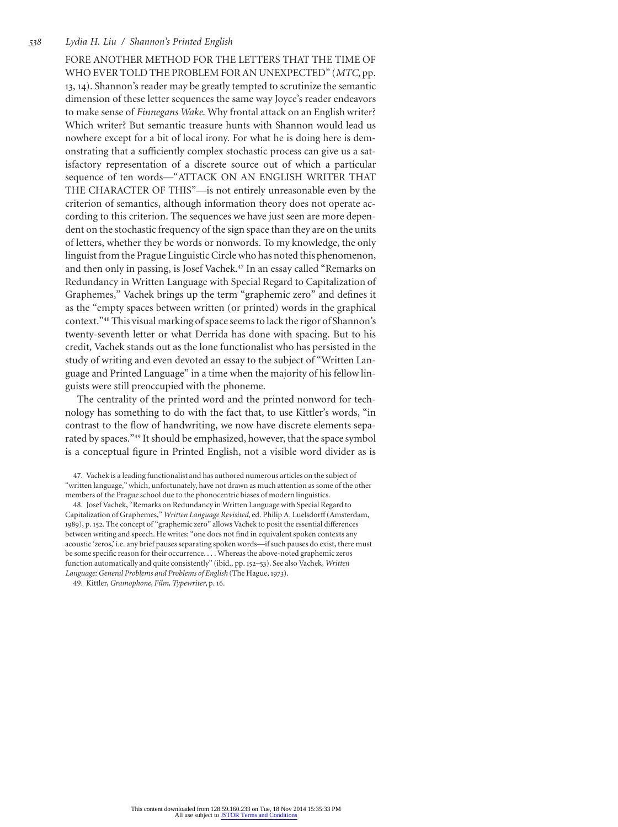FORE ANOTHER METHOD FOR THE LETTERS THAT THE TIME OF WHO EVER TOLD THE PROBLEM FOR AN UNEXPECTED" (*MTC,* pp. 13, 14). Shannon's reader may be greatly tempted to scrutinize the semantic dimension of these letter sequences the same way Joyce's reader endeavors to make sense of *Finnegans Wake*. Why frontal attack on an English writer? Which writer? But semantic treasure hunts with Shannon would lead us nowhere except for a bit of local irony. For what he is doing here is demonstrating that a sufficiently complex stochastic process can give us a satisfactory representation of a discrete source out of which a particular sequence of ten words—"ATTACK ON AN ENGLISH WRITER THAT THE CHARACTER OF THIS"—is not entirely unreasonable even by the criterion of semantics, although information theory does not operate according to this criterion. The sequences we have just seen are more dependent on the stochastic frequency of the sign space than they are on the units of letters, whether they be words or nonwords. To my knowledge, the only linguist from the Prague Linguistic Circle who has noted this phenomenon, and then only in passing, is Josef Vachek.<sup>47</sup> In an essay called "Remarks on Redundancy in Written Language with Special Regard to Capitalization of Graphemes," Vachek brings up the term "graphemic zero" and defines it as the "empty spaces between written (or printed) words in the graphical context."<sup>48</sup> This visual marking of space seems to lack the rigor of Shannon's twenty-seventh letter or what Derrida has done with spacing. But to his credit, Vachek stands out as the lone functionalist who has persisted in the study of writing and even devoted an essay to the subject of "Written Language and Printed Language" in a time when the majority of his fellow linguists were still preoccupied with the phoneme.

The centrality of the printed word and the printed nonword for technology has something to do with the fact that, to use Kittler's words, "in contrast to the flow of handwriting, we now have discrete elements separated by spaces."<sup>49</sup> It should be emphasized, however, that the space symbol is a conceptual figure in Printed English, not a visible word divider as is

48. Josef Vachek, "Remarks on Redundancy in Written Language with Special Regard to Capitalization of Graphemes," *Written Language Revisited*, ed. Philip A. Luelsdorff (Amsterdam, 1989), p. 152. The concept of "graphemic zero" allows Vachek to posit the essential differences between writing and speech. He writes: "one does not find in equivalent spoken contexts any acoustic 'zeros,' i.e. any brief pauses separating spoken words—if such pauses do exist, there must be some specific reason for their occurrence. . . . Whereas the above-noted graphemic zeros function automatically and quite consistently" (ibid., pp. 152–53). See also Vachek, *Written Language: General Problems and Problems of English* (The Hague, 1973).

49. Kittler, *Gramophone, Film, Typewriter*, p. 16.

<sup>47.</sup> Vachek is a leading functionalist and has authored numerous articles on the subject of "written language," which, unfortunately, have not drawn as much attention as some of the other members of the Prague school due to the phonocentric biases of modern linguistics.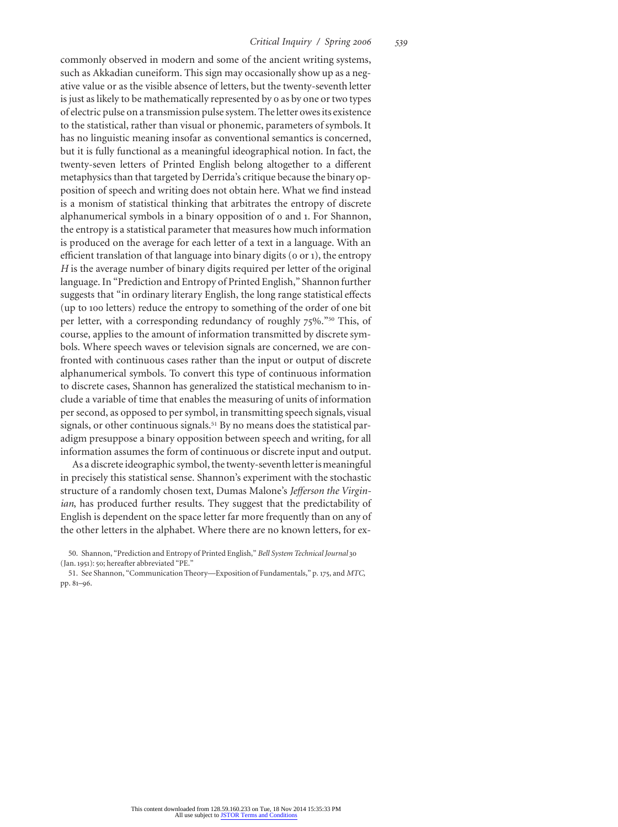commonly observed in modern and some of the ancient writing systems, such as Akkadian cuneiform. This sign may occasionally show up as a negative value or as the visible absence of letters, but the twenty-seventh letter is just as likely to be mathematically represented by 0 as by one or two types of electric pulse on a transmission pulse system. The letter owes its existence to the statistical, rather than visual or phonemic, parameters of symbols. It has no linguistic meaning insofar as conventional semantics is concerned, but it is fully functional as a meaningful ideographical notion. In fact, the twenty-seven letters of Printed English belong altogether to a different metaphysics than that targeted by Derrida's critique because the binary opposition of speech and writing does not obtain here. What we find instead is a monism of statistical thinking that arbitrates the entropy of discrete alphanumerical symbols in a binary opposition of 0 and 1. For Shannon, the entropy is a statistical parameter that measures how much information is produced on the average for each letter of a text in a language. With an efficient translation of that language into binary digits (0 or 1), the entropy *H* is the average number of binary digits required per letter of the original language. In "Prediction and Entropy of Printed English," Shannon further suggests that "in ordinary literary English, the long range statistical effects (up to 100 letters) reduce the entropy to something of the order of one bit per letter, with a corresponding redundancy of roughly 75%."<sup>50</sup> This, of course, applies to the amount of information transmitted by discrete symbols. Where speech waves or television signals are concerned, we are confronted with continuous cases rather than the input or output of discrete alphanumerical symbols. To convert this type of continuous information to discrete cases, Shannon has generalized the statistical mechanism to include a variable of time that enables the measuring of units of information per second, as opposed to per symbol, in transmitting speech signals, visual signals, or other continuous signals.<sup>51</sup> By no means does the statistical paradigm presuppose a binary opposition between speech and writing, for all information assumes the form of continuous or discrete input and output.

As a discrete ideographic symbol, the twenty-seventhletterismeaningful in precisely this statistical sense. Shannon's experiment with the stochastic structure of a randomly chosen text, Dumas Malone's *Jefferson the Virginian*, has produced further results. They suggest that the predictability of English is dependent on the space letter far more frequently than on any of the other letters in the alphabet. Where there are no known letters, for ex-

<sup>50.</sup> Shannon, "Prediction and Entropy of Printed English," *Bell System Technical Journal*30 (Jan. 1951): 50; hereafter abbreviated "PE."

<sup>51.</sup> See Shannon, "Communication Theory—Exposition of Fundamentals," p. 175, and *MTC,* pp. 81–96.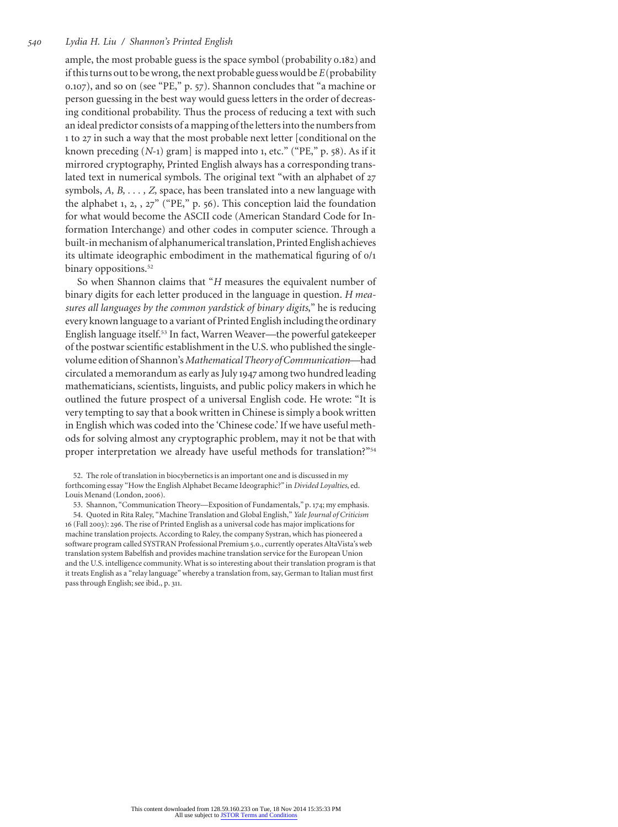ample, the most probable guess is the space symbol (probability 0.182) and if this turns out to be wrong, the next probable guess would be  $E$ (probability 0.107), and so on (see "PE," p. 57). Shannon concludes that "a machine or person guessing in the best way would guess letters in the order of decreasing conditional probability. Thus the process of reducing a text with such an ideal predictor consists of a mapping of the letters into the numbersfrom 1 to 27 in such a way that the most probable next letter [conditional on the known preceding (*N*-1) gram] is mapped into 1, etc." ("PE," p. 58). As if it mirrored cryptography, Printed English always has a corresponding translated text in numerical symbols. The original text "with an alphabet of 27 symbols, *A, B, . . . , Z,* space, has been translated into a new language with the alphabet 1, 2, , 27" ("PE," p. 56). This conception laid the foundation for what would become the ASCII code (American Standard Code for Information Interchange) and other codes in computer science. Through a built-in mechanism of alphanumerical translation, Printed English achieves its ultimate ideographic embodiment in the mathematical figuring of 0/1 binary oppositions.<sup>52</sup>

So when Shannon claims that "*H* measures the equivalent number of binary digits for each letter produced in the language in question. *H measures all languages by the common yardstick of binary digits*," he is reducing every known language to a variant of Printed English including the ordinary English language itself.<sup>53</sup> In fact, Warren Weaver—the powerful gatekeeper of the postwar scientific establishment in the U.S. who published the singlevolume edition of Shannon's*Mathematical Theory ofCommunication*—had circulated a memorandum as early as July 1947 among two hundred leading mathematicians, scientists, linguists, and public policy makers in which he outlined the future prospect of a universal English code. He wrote: "It is very tempting to say that a book written in Chinese is simply a book written in English which was coded into the 'Chinese code.' If we have useful methods for solving almost any cryptographic problem, may it not be that with proper interpretation we already have useful methods for translation?"<sup>54</sup>

52. The role of translation in biocybernetics is an important one and is discussed in my forthcoming essay "How the English Alphabet Became Ideographic?" in *Divided Loyalties*, ed. Louis Menand (London, 2006).

53. Shannon, "Communication Theory—Exposition of Fundamentals," p. 174; my emphasis.

54. Quoted in Rita Raley, "Machine Translation and Global English," *Yale Journal of Criticism* 16 (Fall 2003): 296. The rise of Printed English as a universal code has major implications for machine translation projects. According to Raley, the company Systran, which has pioneered a software program called SYSTRAN Professional Premium 5.0., currently operates AltaVista's web translation system Babelfish and provides machine translation service for the European Union and the U.S. intelligence community. What is so interesting about their translation program is that it treats English as a "relay language" whereby a translation from, say, German to Italian must first pass through English; see ibid., p. 311.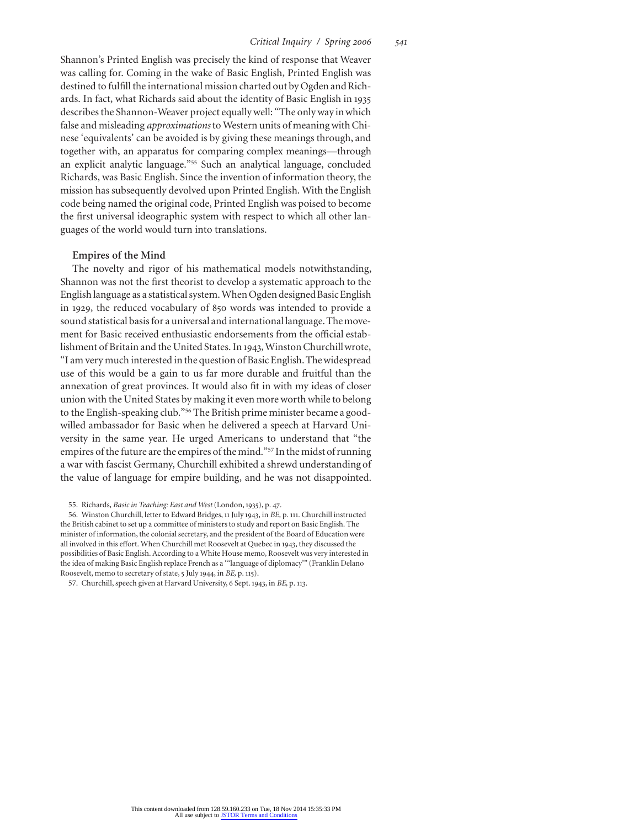Shannon's Printed English was precisely the kind of response that Weaver was calling for. Coming in the wake of Basic English, Printed English was destined to fulfill the international mission charted out by Ogden and Richards. In fact, what Richards said about the identity of Basic English in 1935 describes the Shannon-Weaver project equally well: "The only way in which false and misleading *approximations* to Western units of meaning with Chinese 'equivalents' can be avoided is by giving these meanings through, and together with, an apparatus for comparing complex meanings—through an explicit analytic language."<sup>55</sup> Such an analytical language, concluded Richards, was Basic English. Since the invention of information theory, the mission has subsequently devolved upon Printed English. With the English code being named the original code, Printed English was poised to become the first universal ideographic system with respect to which all other languages of the world would turn into translations.

# **Empires of the Mind**

The novelty and rigor of his mathematical models notwithstanding, Shannon was not the first theorist to develop a systematic approach to the English language as a statistical system.When Ogden designed Basic English in 1929, the reduced vocabulary of 850 words was intended to provide a sound statistical basis for a universal and international language. Themovement for Basic received enthusiastic endorsements from the official establishment of Britain and the United States. In 1943, Winston Churchill wrote, "I am very much interested in the question of Basic English. Thewidespread use of this would be a gain to us far more durable and fruitful than the annexation of great provinces. It would also fit in with my ideas of closer union with the United States by making it even more worth while to belong to the English-speaking club."<sup>56</sup> The British prime minister became a goodwilled ambassador for Basic when he delivered a speech at Harvard University in the same year. He urged Americans to understand that "the empires of the future are the empires of the mind."<sup>57</sup> In the midst of running a war with fascist Germany, Churchill exhibited a shrewd understanding of the value of language for empire building, and he was not disappointed.

56. Winston Churchill, letter to Edward Bridges, 11 July 1943, in *BE,* p. 111. Churchill instructed the British cabinet to set up a committee of ministers to study and report on Basic English. The minister of information, the colonial secretary, and the president of the Board of Education were all involved in this effort. When Churchill met Roosevelt at Quebec in 1943, they discussed the possibilities of Basic English. According to a White House memo, Roosevelt was very interested in the idea of making Basic English replace French as a "'language of diplomacy'" (Franklin Delano Roosevelt, memo to secretary of state, 5 July 1944, in *BE,* p. 115).

<sup>55.</sup> Richards, *Basic in Teaching: East and West* (London, 1935), p. 47.

<sup>57.</sup> Churchill, speech given at Harvard University, 6 Sept. 1943, in *BE,* p. 113.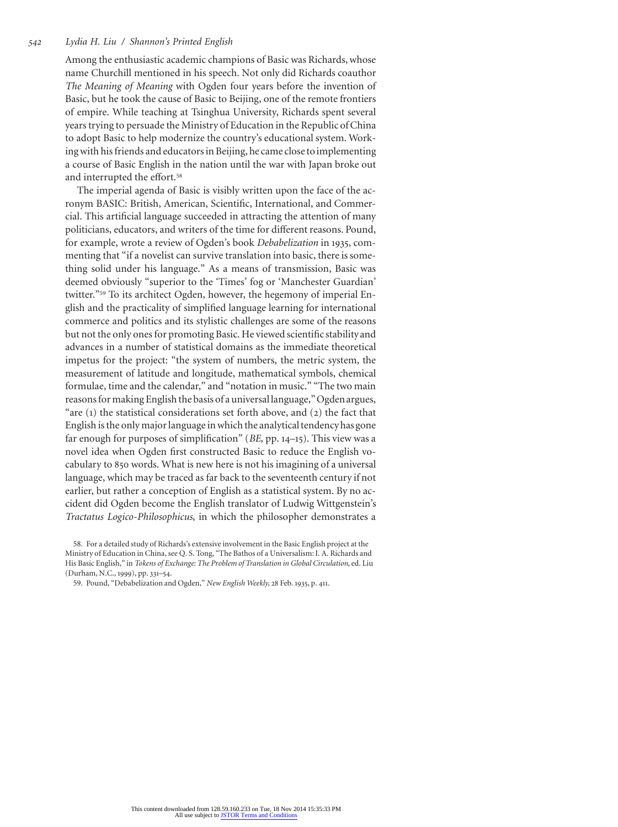Among the enthusiastic academic champions of Basic was Richards, whose name Churchill mentioned in his speech. Not only did Richards coauthor *The Meaning of Meaning* with Ogden four years before the invention of Basic, but he took the cause of Basic to Beijing, one of the remote frontiers of empire. While teaching at Tsinghua University, Richards spent several years trying to persuade the Ministry of Education in the Republic of China to adopt Basic to help modernize the country's educational system. Working with his friends and educators in Beijing, he came close to implementing a course of Basic English in the nation until the war with Japan broke out and interrupted the effort.<sup>58</sup>

The imperial agenda of Basic is visibly written upon the face of the acronym BASIC: British, American, Scientific, International, and Commercial. This artificial language succeeded in attracting the attention of many politicians, educators, and writers of the time for different reasons. Pound, for example, wrote a review of Ogden's book *Debabelization* in 1935, commenting that "if a novelist can survive translation into basic, there is something solid under his language." As a means of transmission, Basic was deemed obviously "superior to the 'Times' fog or 'Manchester Guardian' twitter."<sup>59</sup> To its architect Ogden, however, the hegemony of imperial English and the practicality of simplified language learning for international commerce and politics and its stylistic challenges are some of the reasons but not the only ones for promoting Basic. He viewed scientific stability and advances in a number of statistical domains as the immediate theoretical impetus for the project: "the system of numbers, the metric system, the measurement of latitude and longitude, mathematical symbols, chemical formulae, time and the calendar," and "notation in music." "The two main reasons for making English the basis of a universal language,"Ogden argues, "are  $(1)$  the statistical considerations set forth above, and  $(2)$  the fact that English is the only major language in which the analytical tendency hasgone far enough for purposes of simplification" (*BE,* pp. 14–15). This view was a novel idea when Ogden first constructed Basic to reduce the English vocabulary to 850 words. What is new here is not his imagining of a universal language, which may be traced as far back to the seventeenth century if not earlier, but rather a conception of English as a statistical system. By no accident did Ogden become the English translator of Ludwig Wittgenstein's *Tractatus Logico-Philosophicus*, in which the philosopher demonstrates a

<sup>58.</sup> For a detailed study of Richards's extensive involvement in the Basic English project at the Ministry of Education in China, see Q. S. Tong, "The Bathos of a Universalism: I. A. Richards and His Basic English," in *Tokens of Exchange: The Problem of Translation in Global Circulation*, ed. Liu (Durham, N.C., 1999), pp. 331–54.

<sup>59.</sup> Pound, "Debabelization and Ogden," *New English Weekly,* 28 Feb. 1935, p. 411.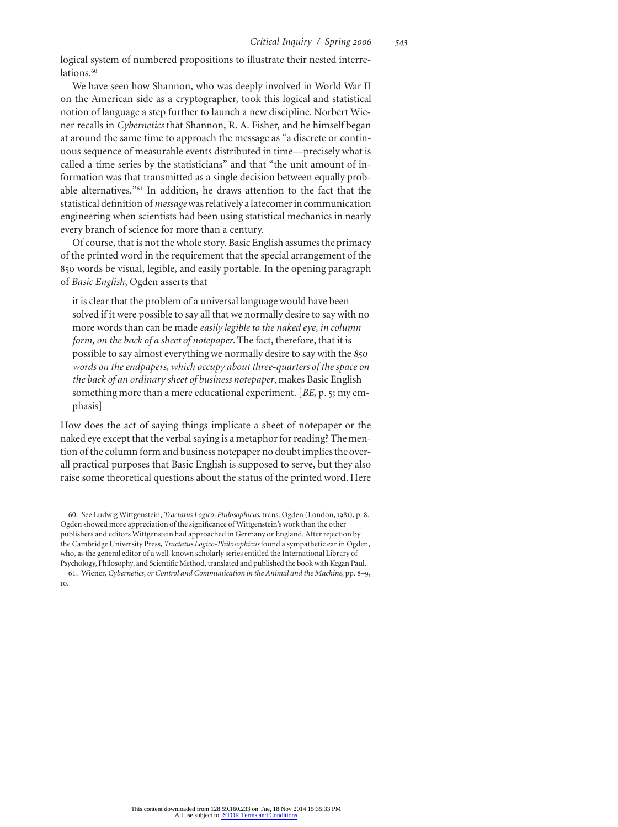logical system of numbered propositions to illustrate their nested interrelations.<sup>60</sup>

We have seen how Shannon, who was deeply involved in World War II on the American side as a cryptographer, took this logical and statistical notion of language a step further to launch a new discipline. Norbert Wiener recalls in *Cybernetics* that Shannon, R. A. Fisher, and he himself began at around the same time to approach the message as "a discrete or continuous sequence of measurable events distributed in time—precisely what is called a time series by the statisticians" and that "the unit amount of information was that transmitted as a single decision between equally probable alternatives."<sup>61</sup> In addition, he draws attention to the fact that the statistical definition of*message*was relatively a latecomerin communication engineering when scientists had been using statistical mechanics in nearly every branch of science for more than a century.

Of course, that is not the whole story. Basic English assumes the primacy of the printed word in the requirement that the special arrangement of the 850 words be visual, legible, and easily portable. In the opening paragraph of *Basic English*, Ogden asserts that

it is clear that the problem of a universal language would have been solved if it were possible to say all that we normally desire to say with no more words than can be made *easily legible to the naked eye, in column form, on the back of a sheet of notepaper*. The fact, therefore, that it is possible to say almost everything we normally desire to say with the *850 words on the endpapers, which occupy about three-quarters of the space on the back of an ordinary sheet of business notepaper*, makes Basic English something more than a mere educational experiment. [*BE,* p. 5; my emphasis]

How does the act of saying things implicate a sheet of notepaper or the naked eye except that the verbal saying is a metaphor for reading? The mention of the column form and business notepaper no doubt implies the overall practical purposes that Basic English is supposed to serve, but they also raise some theoretical questions about the status of the printed word. Here

60. See Ludwig Wittgenstein, *Tractatus Logico-Philosophicus*, trans. Ogden (London, 1981), p. 8. Ogden showed more appreciation of the significance of Wittgenstein's work than the other publishers and editors Wittgenstein had approached in Germany or England. After rejection by the Cambridge University Press, *Tractatus Logico-Philosophicus*found a sympathetic ear in Ogden, who, as the general editor of a well-known scholarly series entitled the International Library of Psychology, Philosophy, and Scientific Method, translated and published the book with Kegan Paul.

61. Wiener, *Cybernetics, or Control and Communication in the Animal and the Machine*, pp. 8–9, 10.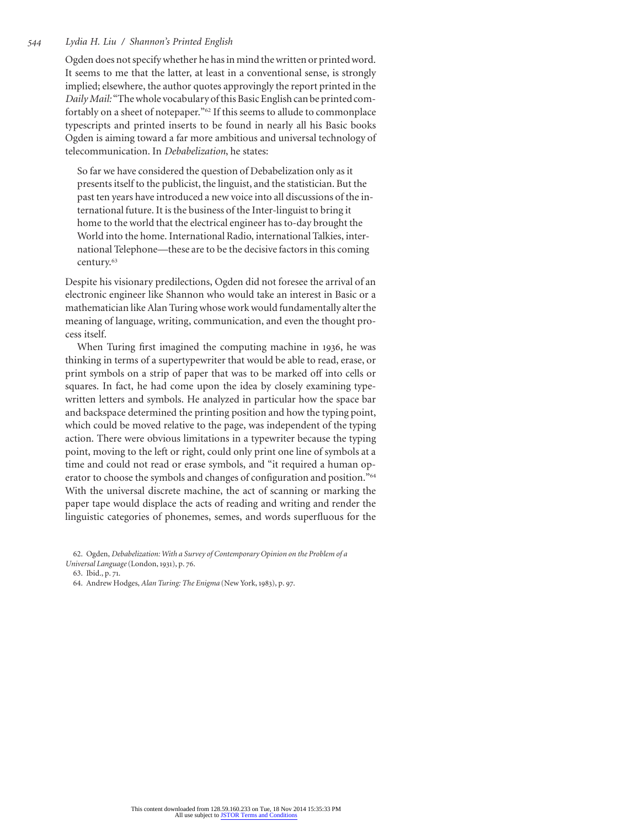Ogden does not specify whether he has in mind the written or printedword. It seems to me that the latter, at least in a conventional sense, is strongly implied; elsewhere, the author quotes approvingly the report printed in the *Daily Mail:* "The whole vocabulary of this Basic English can be printed comfortably on a sheet of notepaper."<sup>62</sup> If this seems to allude to commonplace typescripts and printed inserts to be found in nearly all his Basic books Ogden is aiming toward a far more ambitious and universal technology of telecommunication. In *Debabelization*, he states:

So far we have considered the question of Debabelization only as it presents itself to the publicist, the linguist, and the statistician. But the past ten years have introduced a new voice into all discussions of the international future. It is the business of the Inter-linguist to bring it home to the world that the electrical engineer has to-day brought the World into the home. International Radio, international Talkies, international Telephone—these are to be the decisive factors in this coming century.<sup>63</sup>

Despite his visionary predilections, Ogden did not foresee the arrival of an electronic engineer like Shannon who would take an interest in Basic or a mathematician like Alan Turing whose work would fundamentally alter the meaning of language, writing, communication, and even the thought process itself.

When Turing first imagined the computing machine in 1936, he was thinking in terms of a supertypewriter that would be able to read, erase, or print symbols on a strip of paper that was to be marked off into cells or squares. In fact, he had come upon the idea by closely examining typewritten letters and symbols. He analyzed in particular how the space bar and backspace determined the printing position and how the typing point, which could be moved relative to the page, was independent of the typing action. There were obvious limitations in a typewriter because the typing point, moving to the left or right, could only print one line of symbols at a time and could not read or erase symbols, and "it required a human operator to choose the symbols and changes of configuration and position."<sup>64</sup> With the universal discrete machine, the act of scanning or marking the paper tape would displace the acts of reading and writing and render the linguistic categories of phonemes, semes, and words superfluous for the

63. Ibid., p. 71.

<sup>62.</sup> Ogden, *Debabelization: With a Survey of Contemporary Opinion on the Problem of a Universal Language*(London, 1931), p. 76.

<sup>64.</sup> Andrew Hodges, *Alan Turing: The Enigma* (New York, 1983), p. 97.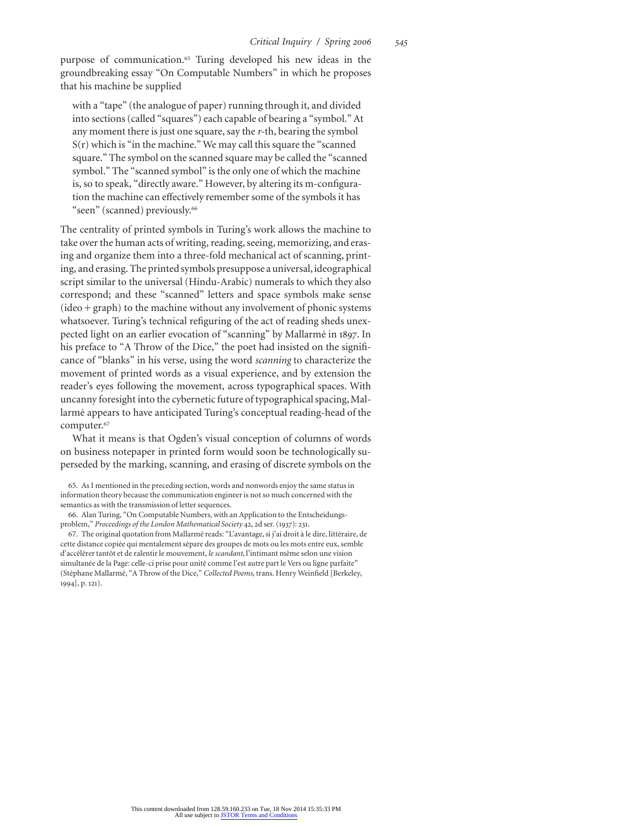purpose of communication.<sup>65</sup> Turing developed his new ideas in the groundbreaking essay "On Computable Numbers" in which he proposes that his machine be supplied

with a "tape" (the analogue of paper) running through it, and divided into sections (called "squares") each capable of bearing a "symbol." At any moment there is just one square, say the *r*-th, bearing the symbol  $S(r)$  which is "in the machine." We may call this square the "scanned" square." The symbol on the scanned square may be called the "scanned symbol." The "scanned symbol" is the only one of which the machine is, so to speak, "directly aware." However, by altering its m-configuration the machine can effectively remember some of the symbols it has "seen" (scanned) previously.<sup>66</sup>

The centrality of printed symbols in Turing's work allows the machine to take over the human acts of writing, reading, seeing, memorizing, and erasing and organize them into a three-fold mechanical act of scanning, printing, and erasing. The printed symbols presuppose a universal, ideographical script similar to the universal (Hindu-Arabic) numerals to which they also correspond; and these "scanned" letters and space symbols make sense  $(i$ deo  $+$  graph) to the machine without any involvement of phonic systems whatsoever. Turing's technical refiguring of the act of reading sheds unexpected light on an earlier evocation of "scanning" by Mallarmé in 1897. In his preface to "A Throw of the Dice," the poet had insisted on the significance of "blanks" in his verse, using the word *scanning* to characterize the movement of printed words as a visual experience, and by extension the reader's eyes following the movement, across typographical spaces. With uncanny foresight into the cybernetic future of typographical spacing, Mallarmé appears to have anticipated Turing's conceptual reading-head of the computer.<sup>67</sup>

What it means is that Ogden's visual conception of columns of words on business notepaper in printed form would soon be technologically superseded by the marking, scanning, and erasing of discrete symbols on the

65. As I mentioned in the preceding section, words and nonwords enjoy the same status in information theory because the communication engineer is not so much concerned with the semantics as with the transmission of letter sequences.

67. The original quotation from Mallarmé reads: "L'avantage, si j'ai droit à le dire, littéraire, de cette distance copiée qui mentalement sépare des groupes de mots ou les mots entre eux, semble d'accélérer tantôt et de ralentir le mouvement, le scandant, l'intimant même selon une vision simultanée de la Page: celle-ci prise pour unité comme l'est autre part le Vers ou ligne parfaite" (Stéphane Mallarmé, "A Throw of the Dice," *Collected Poems*, trans. Henry Weinfield [Berkeley, 1994], p. 121).

<sup>66.</sup> Alan Turing, "On Computable Numbers, with an Application to the Entscheidungsproblem," *Proceedings of the London Mathematical Society* 42, 2d ser. (1937): 231.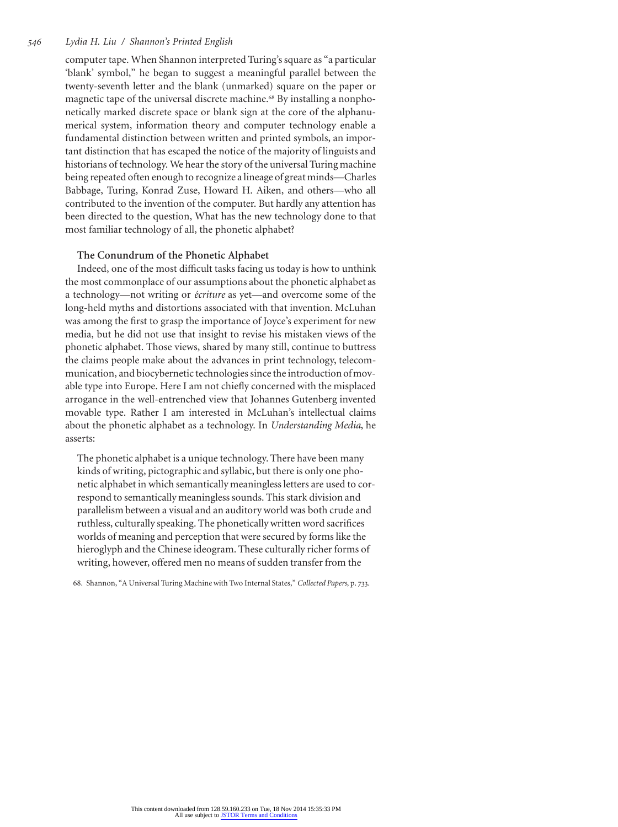computer tape. When Shannon interpreted Turing's square as "a particular 'blank' symbol," he began to suggest a meaningful parallel between the twenty-seventh letter and the blank (unmarked) square on the paper or magnetic tape of the universal discrete machine.<sup>68</sup> By installing a nonphonetically marked discrete space or blank sign at the core of the alphanumerical system, information theory and computer technology enable a fundamental distinction between written and printed symbols, an important distinction that has escaped the notice of the majority of linguists and historians of technology. We hear the story of the universal Turing machine being repeated often enough to recognize a lineage of great minds—Charles Babbage, Turing, Konrad Zuse, Howard H. Aiken, and others—who all contributed to the invention of the computer. But hardly any attention has been directed to the question, What has the new technology done to that most familiar technology of all, the phonetic alphabet?

# **The Conundrum of the Phonetic Alphabet**

Indeed, one of the most difficult tasks facing us today is how to unthink the most commonplace of our assumptions about the phonetic alphabet as a technology—not writing or *écriture* as yet—and overcome some of the long-held myths and distortions associated with that invention. McLuhan was among the first to grasp the importance of Joyce's experiment for new media, but he did not use that insight to revise his mistaken views of the phonetic alphabet. Those views, shared by many still, continue to buttress the claims people make about the advances in print technology, telecommunication, and biocybernetic technologies since the introduction ofmovable type into Europe. Here I am not chiefly concerned with the misplaced arrogance in the well-entrenched view that Johannes Gutenberg invented movable type. Rather I am interested in McLuhan's intellectual claims about the phonetic alphabet as a technology. In *Understanding Media*, he asserts:

The phonetic alphabet is a unique technology. There have been many kinds of writing, pictographic and syllabic, but there is only one phonetic alphabet in which semantically meaningless letters are used to correspond to semantically meaningless sounds. This stark division and parallelism between a visual and an auditory world was both crude and ruthless, culturally speaking. The phonetically written word sacrifices worlds of meaning and perception that were secured by forms like the hieroglyph and the Chinese ideogram. These culturally richer forms of writing, however, offered men no means of sudden transfer from the

68. Shannon, "A Universal Turing Machine with Two Internal States," *Collected Papers*, p. 733.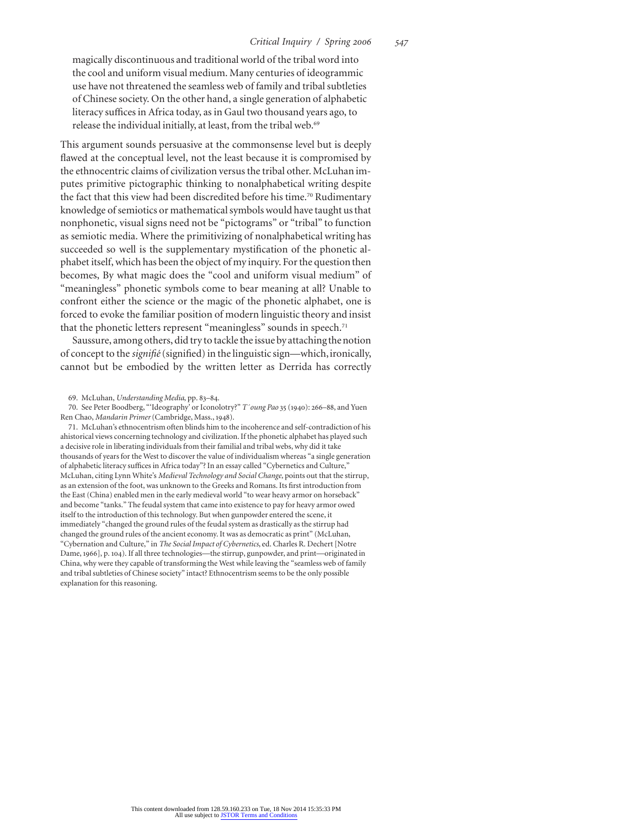magically discontinuous and traditional world of the tribal word into the cool and uniform visual medium. Many centuries of ideogrammic use have not threatened the seamless web of family and tribal subtleties of Chinese society. On the other hand, a single generation of alphabetic literacy suffices in Africa today, as in Gaul two thousand years ago, to release the individual initially, at least, from the tribal web.<sup>69</sup>

This argument sounds persuasive at the commonsense level but is deeply flawed at the conceptual level, not the least because it is compromised by the ethnocentric claims of civilization versus the tribal other. McLuhan imputes primitive pictographic thinking to nonalphabetical writing despite the fact that this view had been discredited before his time.<sup>70</sup> Rudimentary knowledge of semiotics or mathematical symbols would have taught us that nonphonetic, visual signs need not be "pictograms" or "tribal" to function as semiotic media. Where the primitivizing of nonalphabetical writing has succeeded so well is the supplementary mystification of the phonetic alphabet itself, which has been the object of my inquiry. For the question then becomes, By what magic does the "cool and uniform visual medium" of "meaningless" phonetic symbols come to bear meaning at all? Unable to confront either the science or the magic of the phonetic alphabet, one is forced to evoke the familiar position of modern linguistic theory and insist that the phonetic letters represent "meaningless" sounds in speech.<sup>71</sup>

Saussure, among others, did try to tackle the issue by attaching the notion of concept to the *signifie´* (signified) in the linguistic sign—which,ironically, cannot but be embodied by the written letter as Derrida has correctly

71. McLuhan's ethnocentrism often blinds him to the incoherence and self-contradiction of his ahistorical views concerning technology and civilization. If the phonetic alphabet has played such a decisive role in liberating individuals from their familial and tribal webs, why did it take thousands of years for the West to discover the value of individualism whereas "a single generation of alphabetic literacy suffices in Africa today"? In an essay called "Cybernetics and Culture," McLuhan, citing Lynn White's *Medieval Technology and Social Change,* points out that the stirrup, as an extension of the foot, was unknown to the Greeks and Romans. Its first introduction from the East (China) enabled men in the early medieval world "to wear heavy armor on horseback" and become "tanks." The feudal system that came into existence to pay for heavy armor owed itself to the introduction of this technology. But when gunpowder entered the scene, it immediately "changed the ground rules of the feudal system as drastically as the stirrup had changed the ground rules of the ancient economy. It was as democratic as print" (McLuhan, "Cybernation and Culture," in *The Social Impact of Cybernetics*, ed. Charles R. Dechert [Notre Dame, 1966], p. 104). If all three technologies—the stirrup, gunpowder, and print—originated in China, why were they capable of transforming the West while leaving the "seamless web of family and tribal subtleties of Chinese society" intact? Ethnocentrism seems to be the only possible explanation for this reasoning.

<sup>69.</sup> McLuhan, *Understanding Media*, pp. 83–84.

<sup>70.</sup> See Peter Boodberg, "'Ideography' or Iconolotry?" *T´oung Pao* 35 (1940): 266–88, and Yuen Ren Chao, *Mandarin Primer*(Cambridge, Mass., 1948).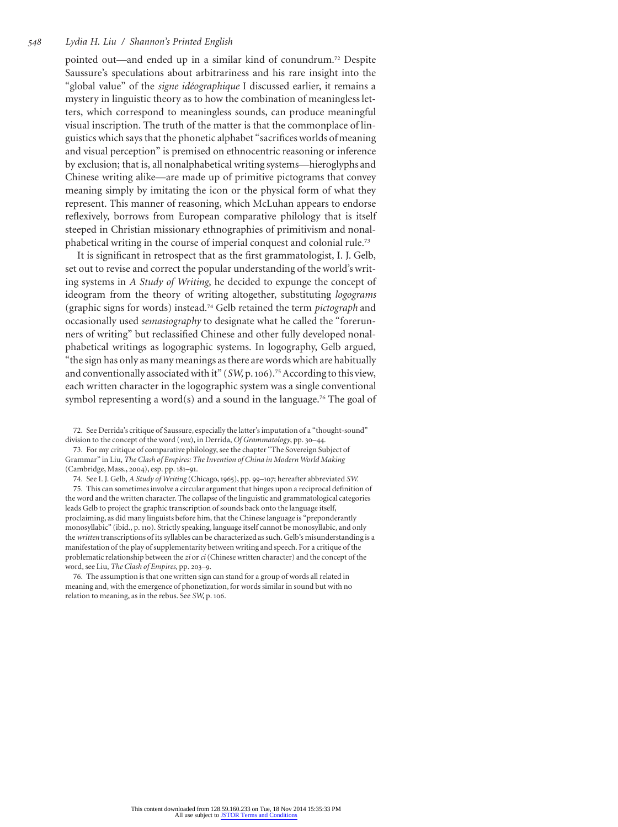pointed out—and ended up in a similar kind of conundrum.<sup>72</sup> Despite Saussure's speculations about arbitrariness and his rare insight into the "global value" of the *signe idéographique* I discussed earlier, it remains a mystery in linguistic theory as to how the combination of meaningless letters, which correspond to meaningless sounds, can produce meaningful visual inscription. The truth of the matter is that the commonplace of linguistics which says that the phonetic alphabet "sacrifices worlds ofmeaning and visual perception" is premised on ethnocentric reasoning or inference by exclusion; that is, all nonalphabetical writing systems—hieroglyphs and Chinese writing alike—are made up of primitive pictograms that convey meaning simply by imitating the icon or the physical form of what they represent. This manner of reasoning, which McLuhan appears to endorse reflexively, borrows from European comparative philology that is itself steeped in Christian missionary ethnographies of primitivism and nonalphabetical writing in the course of imperial conquest and colonial rule.<sup>73</sup>

It is significant in retrospect that as the first grammatologist, I. J. Gelb, set out to revise and correct the popular understanding of the world's writing systems in *A Study of Writing*, he decided to expunge the concept of ideogram from the theory of writing altogether, substituting *logograms* (graphic signs for words) instead.<sup>74</sup> Gelb retained the term *pictograph* and occasionally used *semasiography* to designate what he called the "forerunners of writing" but reclassified Chinese and other fully developed nonalphabetical writings as logographic systems. In logography, Gelb argued, "the sign has only as many meanings as there are words which are habitually and conventionally associated with it" (*SW*, p. 106).<sup>75</sup> According to this view, each written character in the logographic system was a single conventional symbol representing a word(s) and a sound in the language.<sup>76</sup> The goal of

72. See Derrida's critique of Saussure, especially the latter's imputation of a "thought-sound" division to the concept of the word (*vox*), in Derrida, *Of Grammatology*, pp. 30–44.

73. For my critique of comparative philology, see the chapter "The Sovereign Subject of Grammar" in Liu, *The Clash of Empires: The Invention of China in Modern World Making* (Cambridge, Mass., 2004), esp. pp. 181–91.

74. See I. J. Gelb, *A Study of Writing* (Chicago, 1965), pp. 99–107; hereafter abbreviated *SW.*

75. This can sometimes involve a circular argument that hinges upon a reciprocal definition of the word and the written character. The collapse of the linguistic and grammatological categories leads Gelb to project the graphic transcription of sounds back onto the language itself, proclaiming, as did many linguists before him, that the Chinese language is "preponderantly monosyllabic" (ibid., p. 110). Strictly speaking, language itself cannot be monosyllabic, and only the *written* transcriptions of its syllables can be characterized as such. Gelb's misunderstanding is a manifestation of the play of supplementarity between writing and speech. For a critique of the problematic relationship between the *zi* or *ci* (Chinese written character) and the concept of the word, see Liu, *The Clash of Empires*, pp. 203–9.

76. The assumption is that one written sign can stand for a group of words all related in meaning and, with the emergence of phonetization, for words similar in sound but with no relation to meaning, as in the rebus. See *SW,* p. 106.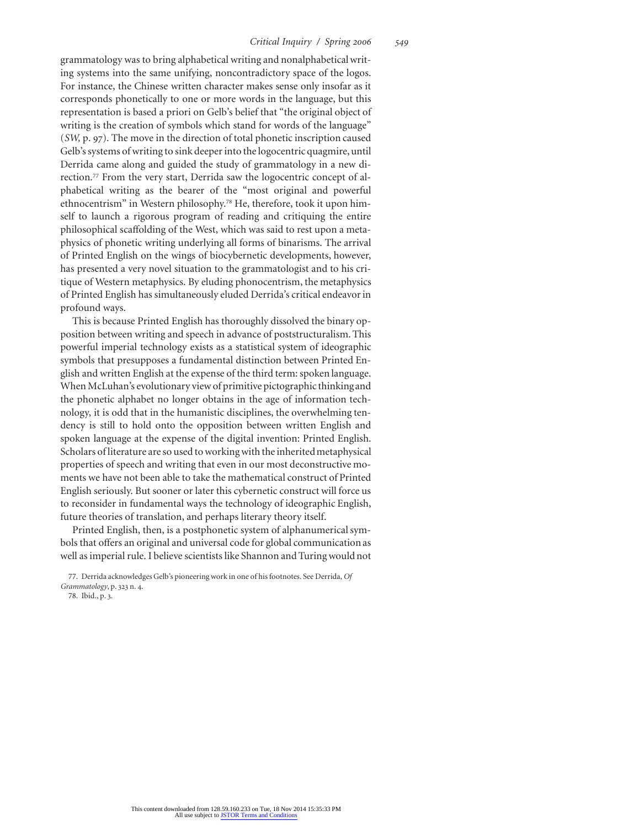grammatology was to bring alphabetical writing and nonalphabetical writing systems into the same unifying, noncontradictory space of the logos. For instance, the Chinese written character makes sense only insofar as it corresponds phonetically to one or more words in the language, but this representation is based a priori on Gelb's belief that "the original object of writing is the creation of symbols which stand for words of the language" (*SW,* p. 97). The move in the direction of total phonetic inscription caused Gelb's systems of writing to sink deeper into the logocentric quagmire, until Derrida came along and guided the study of grammatology in a new direction.<sup>77</sup> From the very start, Derrida saw the logocentric concept of alphabetical writing as the bearer of the "most original and powerful ethnocentrism" in Western philosophy.<sup>78</sup> He, therefore, took it upon himself to launch a rigorous program of reading and critiquing the entire philosophical scaffolding of the West, which was said to rest upon a metaphysics of phonetic writing underlying all forms of binarisms. The arrival of Printed English on the wings of biocybernetic developments, however, has presented a very novel situation to the grammatologist and to his critique of Western metaphysics. By eluding phonocentrism, the metaphysics of Printed English has simultaneously eluded Derrida's critical endeavor in profound ways.

This is because Printed English has thoroughly dissolved the binary opposition between writing and speech in advance of poststructuralism. This powerful imperial technology exists as a statistical system of ideographic symbols that presupposes a fundamental distinction between Printed English and written English at the expense of the third term: spoken language. When McLuhan's evolutionary view of primitive pictographic thinkingand the phonetic alphabet no longer obtains in the age of information technology, it is odd that in the humanistic disciplines, the overwhelming tendency is still to hold onto the opposition between written English and spoken language at the expense of the digital invention: Printed English. Scholars of literature are so used to working with the inherited metaphysical properties of speech and writing that even in our most deconstructive moments we have not been able to take the mathematical construct of Printed English seriously. But sooner or later this cybernetic construct will force us to reconsider in fundamental ways the technology of ideographic English, future theories of translation, and perhaps literary theory itself.

Printed English, then, is a postphonetic system of alphanumerical symbols that offers an original and universal code for global communication as well as imperial rule. I believe scientists like Shannon and Turing would not

<sup>77.</sup> Derrida acknowledges Gelb's pioneering work in one of his footnotes. See Derrida, *Of Grammatology*, p. 323 n. 4.

<sup>78.</sup> Ibid., p. 3.